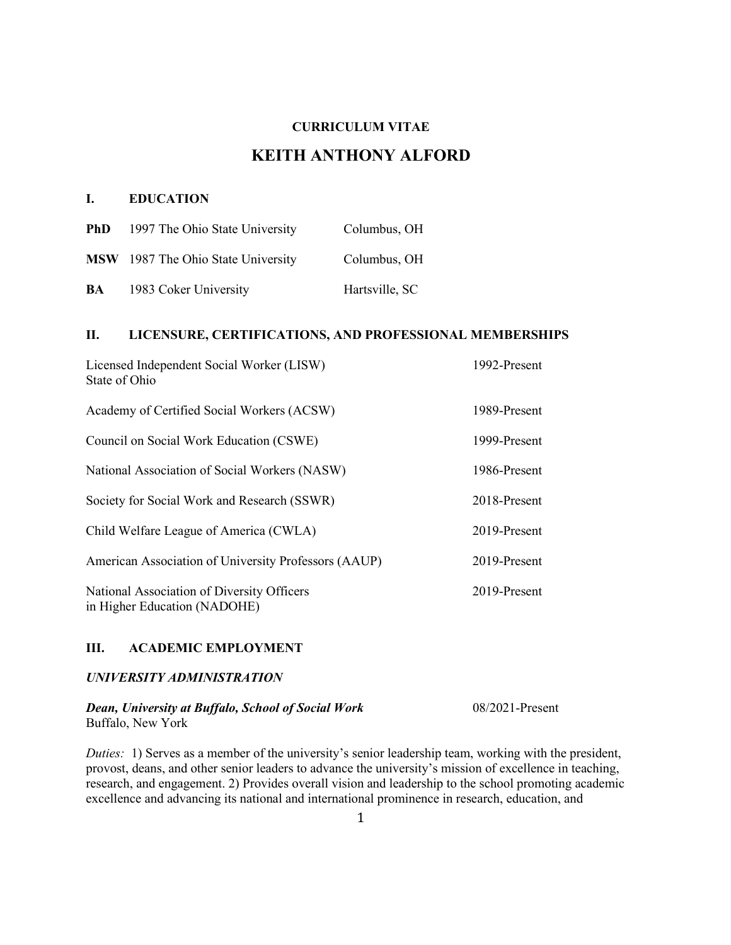# **CURRICULUM VITAE**

# **KEITH ANTHONY ALFORD**

## **I. EDUCATION**

| <b>PhD</b> | 1997 The Ohio State University     | Columbus, OH   |
|------------|------------------------------------|----------------|
|            | MSW 1987 The Ohio State University | Columbus, OH   |
| BA         | 1983 Coker University              | Hartsville, SC |

# **II. LICENSURE, CERTIFICATIONS, AND PROFESSIONAL MEMBERSHIPS**

| Licensed Independent Social Worker (LISW)<br>State of Ohio                 | 1992-Present |
|----------------------------------------------------------------------------|--------------|
| Academy of Certified Social Workers (ACSW)                                 | 1989-Present |
| Council on Social Work Education (CSWE)                                    | 1999-Present |
| National Association of Social Workers (NASW)                              | 1986-Present |
| Society for Social Work and Research (SSWR)                                | 2018-Present |
| Child Welfare League of America (CWLA)                                     | 2019-Present |
| American Association of University Professors (AAUP)                       | 2019-Present |
| National Association of Diversity Officers<br>in Higher Education (NADOHE) | 2019-Present |

## **III. ACADEMIC EMPLOYMENT**

## *UNIVERSITY ADMINISTRATION*

# *Dean, University at Buffalo, School of Social Work* 08/2021-Present

Buffalo, New York

*Duties:* 1) Serves as a member of the university's senior leadership team, working with the president, provost, deans, and other senior leaders to advance the university's mission of excellence in teaching, research, and engagement. 2) Provides overall vision and leadership to the school promoting academic excellence and advancing its national and international prominence in research, education, and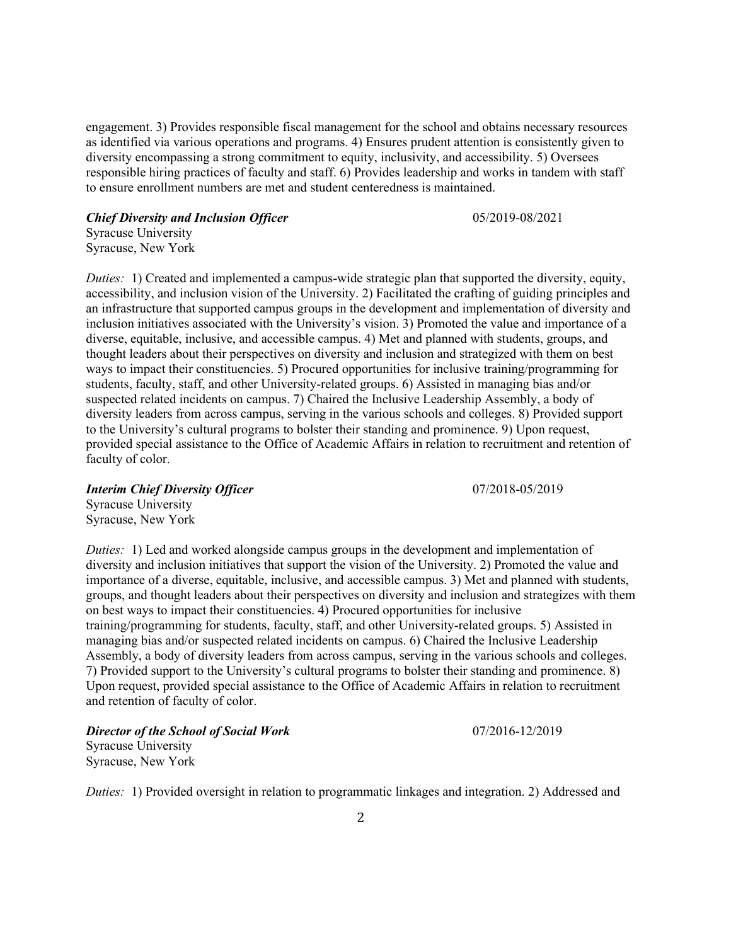engagement. 3) Provides responsible fiscal management for the school and obtains necessary resources as identified via various operations and programs. 4) Ensures prudent attention is consistently given to diversity encompassing a strong commitment to equity, inclusivity, and accessibility. 5) Oversees responsible hiring practices of faculty and staff. 6) Provides leadership and works in tandem with staff to ensure enrollment numbers are met and student centeredness is maintained.

*Chief Diversity and Inclusion Officer* **1996** 1997 1997 1998/2021

Syracuse University Syracuse, New York

*Duties:* 1) Created and implemented a campus-wide strategic plan that supported the diversity, equity, accessibility, and inclusion vision of the University. 2) Facilitated the crafting of guiding principles and an infrastructure that supported campus groups in the development and implementation of diversity and inclusion initiatives associated with the University's vision. 3) Promoted the value and importance of a diverse, equitable, inclusive, and accessible campus. 4) Met and planned with students, groups, and thought leaders about their perspectives on diversity and inclusion and strategized with them on best ways to impact their constituencies. 5) Procured opportunities for inclusive training/programming for students, faculty, staff, and other University-related groups. 6) Assisted in managing bias and/or suspected related incidents on campus. 7) Chaired the Inclusive Leadership Assembly, a body of diversity leaders from across campus, serving in the various schools and colleges. 8) Provided support to the University's cultural programs to bolster their standing and prominence. 9) Upon request, provided special assistance to the Office of Academic Affairs in relation to recruitment and retention of faculty of color.

*Interim Chief Diversity Officer* 07/2018-05/2019

Syracuse University Syracuse, New York

*Duties:* 1) Led and worked alongside campus groups in the development and implementation of diversity and inclusion initiatives that support the vision of the University. 2) Promoted the value and importance of a diverse, equitable, inclusive, and accessible campus. 3) Met and planned with students, groups, and thought leaders about their perspectives on diversity and inclusion and strategizes with them on best ways to impact their constituencies. 4) Procured opportunities for inclusive training/programming for students, faculty, staff, and other University-related groups. 5) Assisted in managing bias and/or suspected related incidents on campus. 6) Chaired the Inclusive Leadership Assembly, a body of diversity leaders from across campus, serving in the various schools and colleges. 7) Provided support to the University's cultural programs to bolster their standing and prominence. 8) Upon request, provided special assistance to the Office of Academic Affairs in relation to recruitment and retention of faculty of color.

*Director of the School of Social Work* 07/2016-12/2019 Syracuse University Syracuse, New York

*Duties:* 1) Provided oversight in relation to programmatic linkages and integration. 2) Addressed and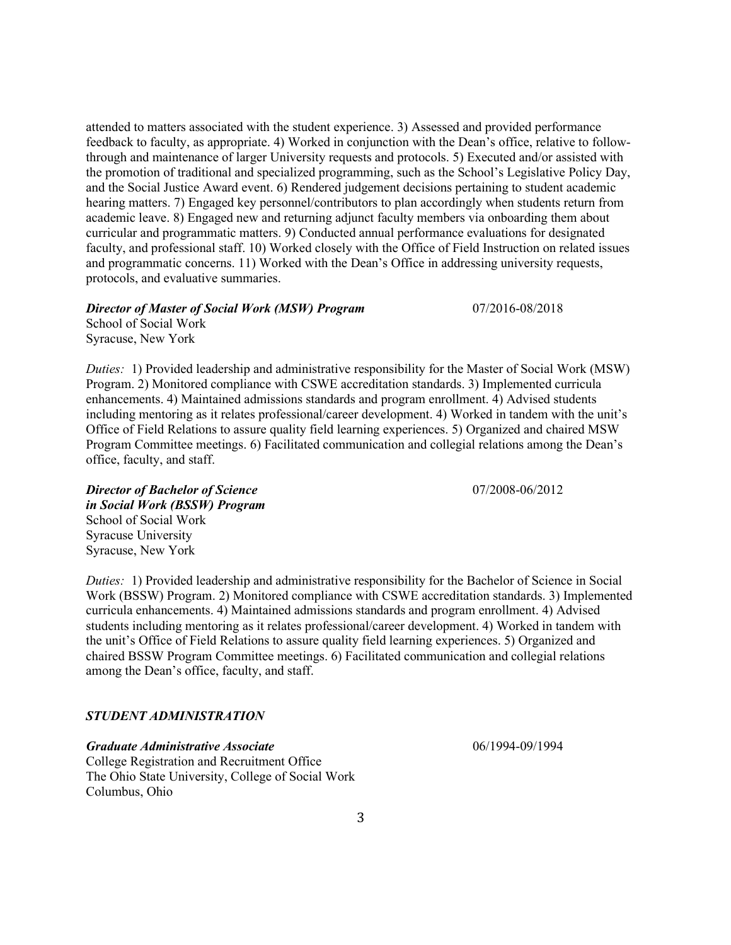attended to matters associated with the student experience. 3) Assessed and provided performance feedback to faculty, as appropriate. 4) Worked in conjunction with the Dean's office, relative to followthrough and maintenance of larger University requests and protocols. 5) Executed and/or assisted with the promotion of traditional and specialized programming, such as the School's Legislative Policy Day, and the Social Justice Award event. 6) Rendered judgement decisions pertaining to student academic hearing matters. 7) Engaged key personnel/contributors to plan accordingly when students return from academic leave. 8) Engaged new and returning adjunct faculty members via onboarding them about curricular and programmatic matters. 9) Conducted annual performance evaluations for designated faculty, and professional staff. 10) Worked closely with the Office of Field Instruction on related issues and programmatic concerns. 11) Worked with the Dean's Office in addressing university requests, protocols, and evaluative summaries.

## *Director of Master of Social Work (MSW) Program* 07/2016-08/2018

School of Social Work Syracuse, New York

*Duties:* 1) Provided leadership and administrative responsibility for the Master of Social Work (MSW) Program. 2) Monitored compliance with CSWE accreditation standards. 3) Implemented curricula enhancements. 4) Maintained admissions standards and program enrollment. 4) Advised students including mentoring as it relates professional/career development. 4) Worked in tandem with the unit's Office of Field Relations to assure quality field learning experiences. 5) Organized and chaired MSW Program Committee meetings. 6) Facilitated communication and collegial relations among the Dean's office, faculty, and staff.

**Director of Bachelor of Science** 07/2008-06/2012 *in Social Work (BSSW) Program* School of Social Work Syracuse University Syracuse, New York

*Duties:* 1) Provided leadership and administrative responsibility for the Bachelor of Science in Social Work (BSSW) Program. 2) Monitored compliance with CSWE accreditation standards. 3) Implemented curricula enhancements. 4) Maintained admissions standards and program enrollment. 4) Advised students including mentoring as it relates professional/career development. 4) Worked in tandem with the unit's Office of Field Relations to assure quality field learning experiences. 5) Organized and chaired BSSW Program Committee meetings. 6) Facilitated communication and collegial relations among the Dean's office, faculty, and staff.

## *STUDENT ADMINISTRATION*

*Graduate Administrative Associate* 06/1994-09/1994 College Registration and Recruitment Office The Ohio State University, College of Social Work Columbus, Ohio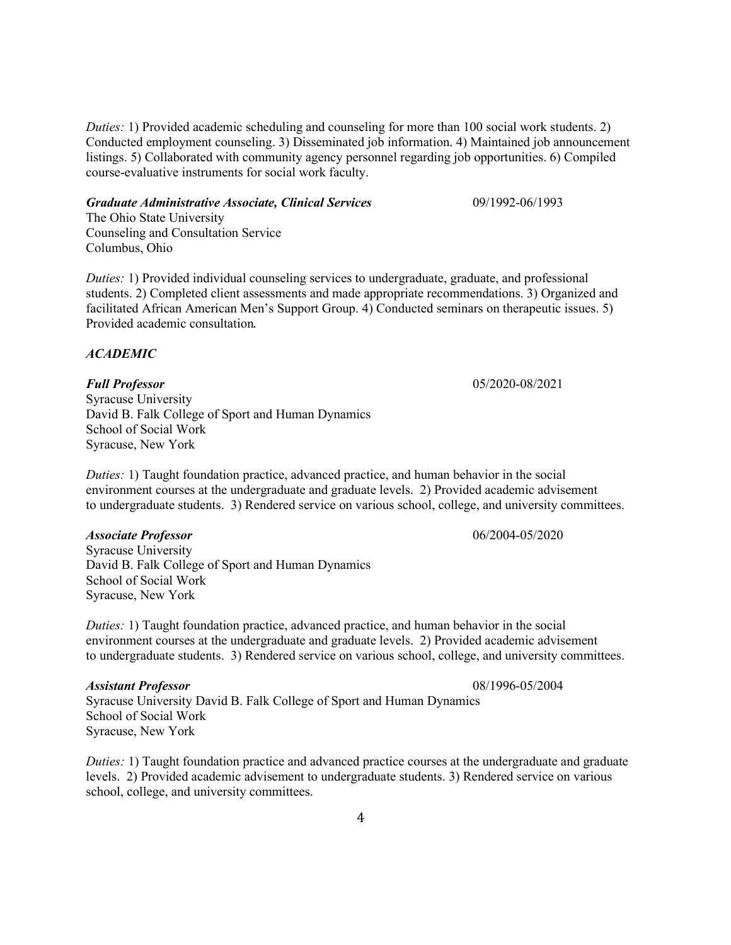*Duties:* 1) Provided academic scheduling and counseling for more than 100 social work students. 2) Conducted employment counseling. 3) Disseminated job information. 4) Maintained job announcement listings. 5) Collaborated with community agency personnel regarding job opportunities. 6) Compiled course-evaluative instruments for social work faculty.

## *Graduate Administrative Associate, Clinical Services* 09/1992-06/1993

The Ohio State University Counseling and Consultation Service Columbus, Ohio

*Duties:* 1) Provided individual counseling services to undergraduate, graduate, and professional students. 2) Completed client assessments and made appropriate recommendations. 3) Organized and facilitated African American Men's Support Group. 4) Conducted seminars on therapeutic issues. 5) Provided academic consultation.

## *ACADEMIC*

*Full Professor* 05/2020-08/2021 Syracuse University David B. Falk College of Sport and Human Dynamics School of Social Work Syracuse, New York

*Duties:* 1) Taught foundation practice, advanced practice, and human behavior in the social environment courses at the undergraduate and graduate levels. 2) Provided academic advisement to undergraduate students. 3) Rendered service on various school, college, and university committees.

## *Associate Professor* 06/2004-05/2020

Syracuse University David B. Falk College of Sport and Human Dynamics School of Social Work Syracuse, New York

*Duties:* 1) Taught foundation practice, advanced practice, and human behavior in the social environment courses at the undergraduate and graduate levels. 2) Provided academic advisement to undergraduate students. 3) Rendered service on various school, college, and university committees.

## *Assistant Professor* 08/1996-05/2004

Syracuse University David B. Falk College of Sport and Human Dynamics School of Social Work Syracuse, New York

*Duties:* 1) Taught foundation practice and advanced practice courses at the undergraduate and graduate levels. 2) Provided academic advisement to undergraduate students. 3) Rendered service on various school, college, and university committees.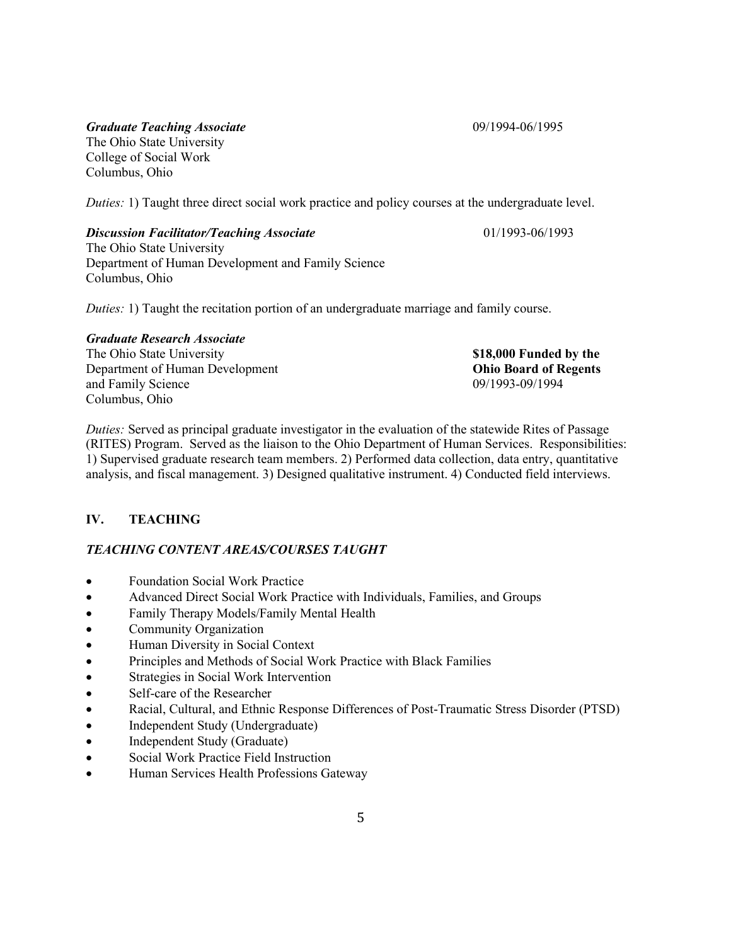# *Graduate Teaching Associate* 09/1994-06/1995

The Ohio State University College of Social Work Columbus, Ohio

*Duties:* 1) Taught three direct social work practice and policy courses at the undergraduate level.

## *Discussion Facilitator/Teaching Associate* 01/1993-06/1993

The Ohio State University Department of Human Development and Family Science Columbus, Ohio

*Duties:* 1) Taught the recitation portion of an undergraduate marriage and family course.

# *Graduate Research Associate*

The Ohio State University **\$18,000 Funded by the** Department of Human Development **Ohio Board of Regents** and Family Science 09/1993-09/1994 Columbus, Ohio

*Duties:* Served as principal graduate investigator in the evaluation of the statewide Rites of Passage (RITES) Program. Served as the liaison to the Ohio Department of Human Services. Responsibilities: 1) Supervised graduate research team members. 2) Performed data collection, data entry, quantitative analysis, and fiscal management. 3) Designed qualitative instrument. 4) Conducted field interviews.

# **IV. TEACHING**

# *TEACHING CONTENT AREAS/COURSES TAUGHT*

- Foundation Social Work Practice
- Advanced Direct Social Work Practice with Individuals, Families, and Groups
- Family Therapy Models/Family Mental Health
- Community Organization
- Human Diversity in Social Context
- Principles and Methods of Social Work Practice with Black Families
- Strategies in Social Work Intervention
- Self-care of the Researcher
- Racial, Cultural, and Ethnic Response Differences of Post-Traumatic Stress Disorder (PTSD)
- Independent Study (Undergraduate)
- Independent Study (Graduate)
- Social Work Practice Field Instruction
- Human Services Health Professions Gateway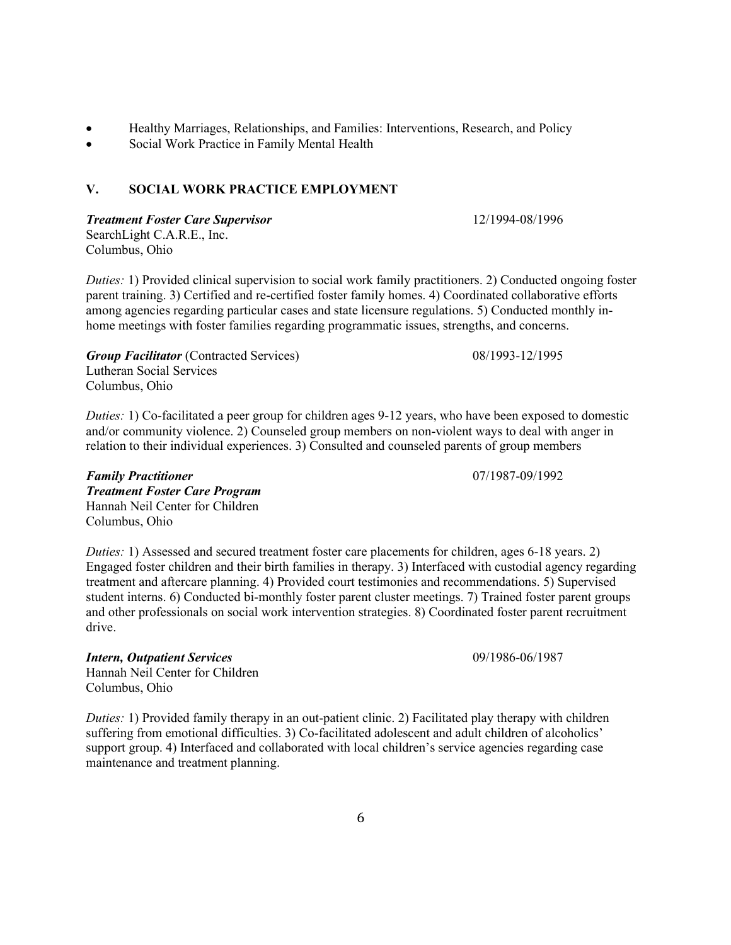- Healthy Marriages, Relationships, and Families: Interventions, Research, and Policy
- Social Work Practice in Family Mental Health

## **V. SOCIAL WORK PRACTICE EMPLOYMENT**

*Treatment Foster Care Supervisor* 12/1994-08/1996 SearchLight C.A.R.E., Inc. Columbus, Ohio

*Duties:* 1) Provided clinical supervision to social work family practitioners. 2) Conducted ongoing foster parent training. 3) Certified and re-certified foster family homes. 4) Coordinated collaborative efforts among agencies regarding particular cases and state licensure regulations. 5) Conducted monthly inhome meetings with foster families regarding programmatic issues, strengths, and concerns.

*Group Facilitator* (Contracted Services) 08/1993-12/1995 Lutheran Social Services Columbus, Ohio

*Duties:* 1) Co-facilitated a peer group for children ages 9-12 years, who have been exposed to domestic and/or community violence. 2) Counseled group members on non-violent ways to deal with anger in relation to their individual experiences. 3) Consulted and counseled parents of group members

*Family Practitioner* 07/1987-09/1992 *Treatment Foster Care Program* Hannah Neil Center for Children Columbus, Ohio

*Duties:* 1) Assessed and secured treatment foster care placements for children, ages 6-18 years. 2) Engaged foster children and their birth families in therapy. 3) Interfaced with custodial agency regarding treatment and aftercare planning. 4) Provided court testimonies and recommendations. 5) Supervised student interns. 6) Conducted bi-monthly foster parent cluster meetings. 7) Trained foster parent groups and other professionals on social work intervention strategies. 8) Coordinated foster parent recruitment drive.

*Intern, Outpatient Services* 09/1986-06/1987 Hannah Neil Center for Children Columbus, Ohio

*Duties: 1)* Provided family therapy in an out-patient clinic. 2) Facilitated play therapy with children suffering from emotional difficulties. 3) Co-facilitated adolescent and adult children of alcoholics' support group. 4) Interfaced and collaborated with local children's service agencies regarding case maintenance and treatment planning.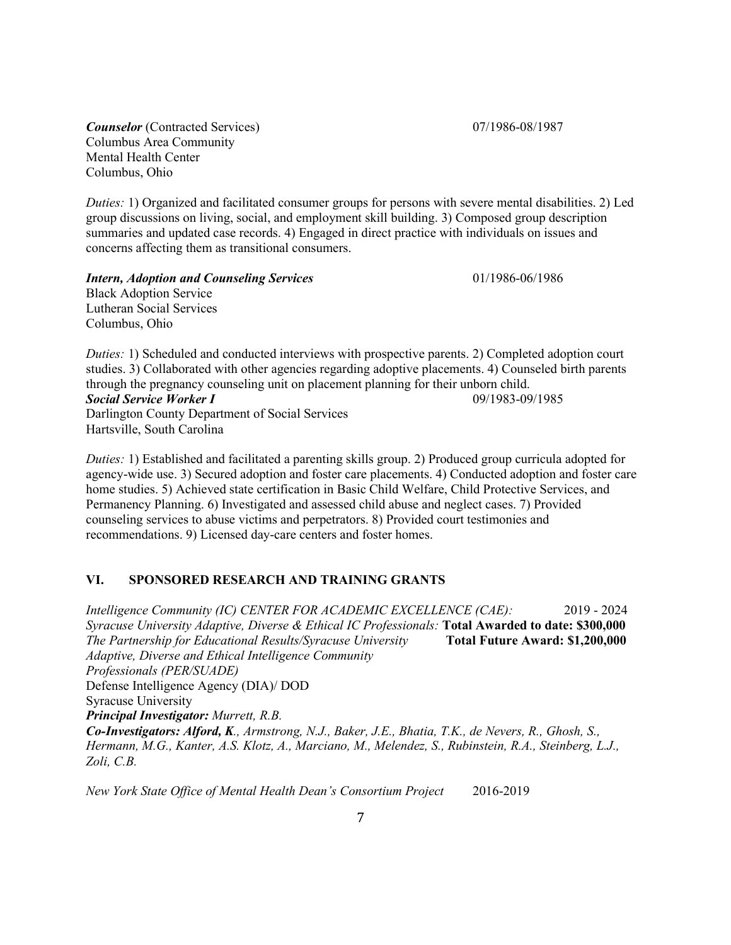**Counselor** (Contracted Services) 07/1986-08/1987 Columbus Area Community Mental Health Center Columbus, Ohio

*Duties:* 1) Organized and facilitated consumer groups for persons with severe mental disabilities. 2) Led group discussions on living, social, and employment skill building. 3) Composed group description summaries and updated case records. 4) Engaged in direct practice with individuals on issues and concerns affecting them as transitional consumers.

*Intern, Adoption and Counseling Services* 01/1986-06/1986 Black Adoption Service Lutheran Social Services Columbus, Ohio

*Duties:* 1) Scheduled and conducted interviews with prospective parents. 2) Completed adoption court studies. 3) Collaborated with other agencies regarding adoptive placements. 4) Counseled birth parents through the pregnancy counseling unit on placement planning for their unborn child. *Social Service Worker I* 09/1983-09/1985

Darlington County Department of Social Services Hartsville, South Carolina

*Duties:* 1) Established and facilitated a parenting skills group. 2) Produced group curricula adopted for agency-wide use. 3) Secured adoption and foster care placements. 4) Conducted adoption and foster care home studies. 5) Achieved state certification in Basic Child Welfare, Child Protective Services, and Permanency Planning. 6) Investigated and assessed child abuse and neglect cases. 7) Provided counseling services to abuse victims and perpetrators. 8) Provided court testimonies and recommendations. 9) Licensed day-care centers and foster homes.

# **VI. SPONSORED RESEARCH AND TRAINING GRANTS**

*Intelligence Community (IC) CENTER FOR ACADEMIC EXCELLENCE (CAE):* 2019 - 2024 *Syracuse University Adaptive, Diverse & Ethical IC Professionals:* **Total Awarded to date: \$300,000** *The Partnership for Educational Results/Syracuse University* **Total Future Award: \$1,200,000** *Adaptive, Diverse and Ethical Intelligence Community Professionals (PER/SUADE)* Defense Intelligence Agency (DIA)/ DOD Syracuse University *Principal Investigator: Murrett, R.B. Co-Investigators: Alford, K., Armstrong, N.J., Baker, J.E., Bhatia, T.K., de Nevers, R., Ghosh, S., Hermann, M.G., Kanter, A.S. Klotz, A., Marciano, M., Melendez, S., Rubinstein, R.A., Steinberg, L.J., Zoli, C.B.*

*New York State Office of Mental Health Dean's Consortium Project* 2016-2019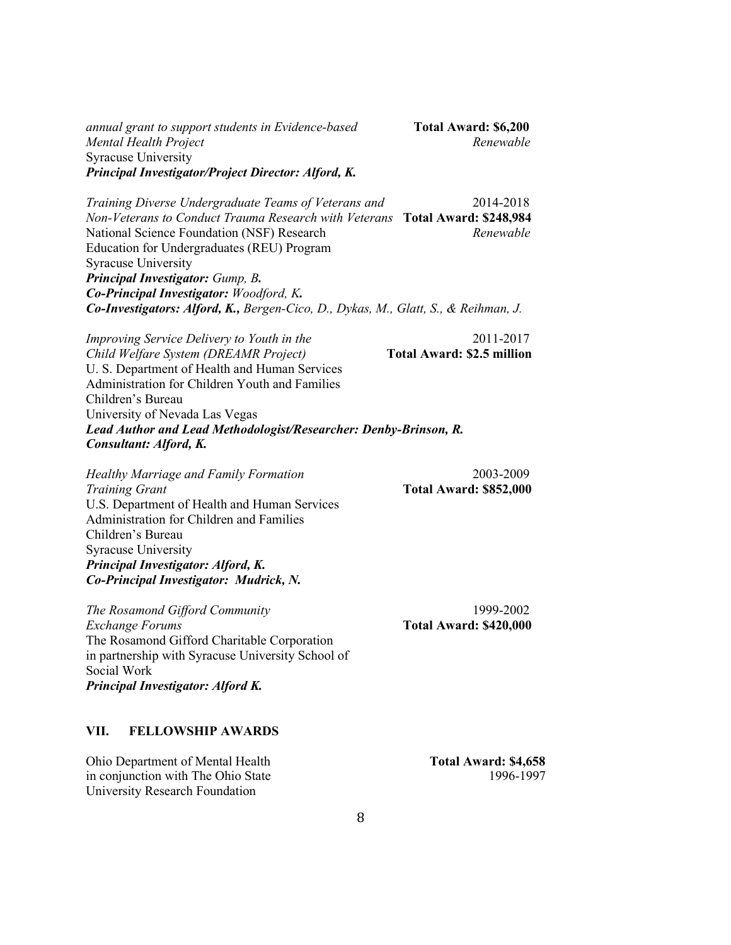*annual grant to support students in Evidence-based* **Total Award: \$6,200** *Mental Health Project Renewable* Syracuse University *Principal Investigator/Project Director: Alford, K.*

*Training Diverse Undergraduate Teams of Veterans and* 2014-2018 *Non-Veterans to Conduct Trauma Research with Veterans* **Total Award: \$248,984** National Science Foundation (NSF) Research *Renewable* Education for Undergraduates (REU) Program Syracuse University *Principal Investigator: Gump, B. Co-Principal Investigator: Woodford, K. Co-Investigators: Alford, K., Bergen-Cico, D., Dykas, M., Glatt, S., & Reihman, J.* 

*Improving Service Delivery to Youth in the* 2011-2017 *Child Welfare System (DREAMR Project)* **Total Award: \$2.5 million** U. S. Department of Health and Human Services Administration for Children Youth and Families Children's Bureau University of Nevada Las Vegas *Lead Author and Lead Methodologist/Researcher: Denby-Brinson, R. Consultant: Alford, K.*

*Healthy Marriage and Family Formation* 2003-2009 *Training Grant* **Total Award: \$852,000** U.S. Department of Health and Human Services Administration for Children and Families Children's Bureau Syracuse University *Principal Investigator: Alford, K. Co-Principal Investigator: Mudrick, N.*

*The Rosamond Gifford Community* 1999-2002 *Exchange Forums* **Total Award: \$420,000** The Rosamond Gifford Charitable Corporation in partnership with Syracuse University School of Social Work *Principal Investigator: Alford K.* 

### **VII. FELLOWSHIP AWARDS**

Ohio Department of Mental Health **Total Award: \$4,658** in conjunction with The Ohio State 1996-1997 University Research Foundation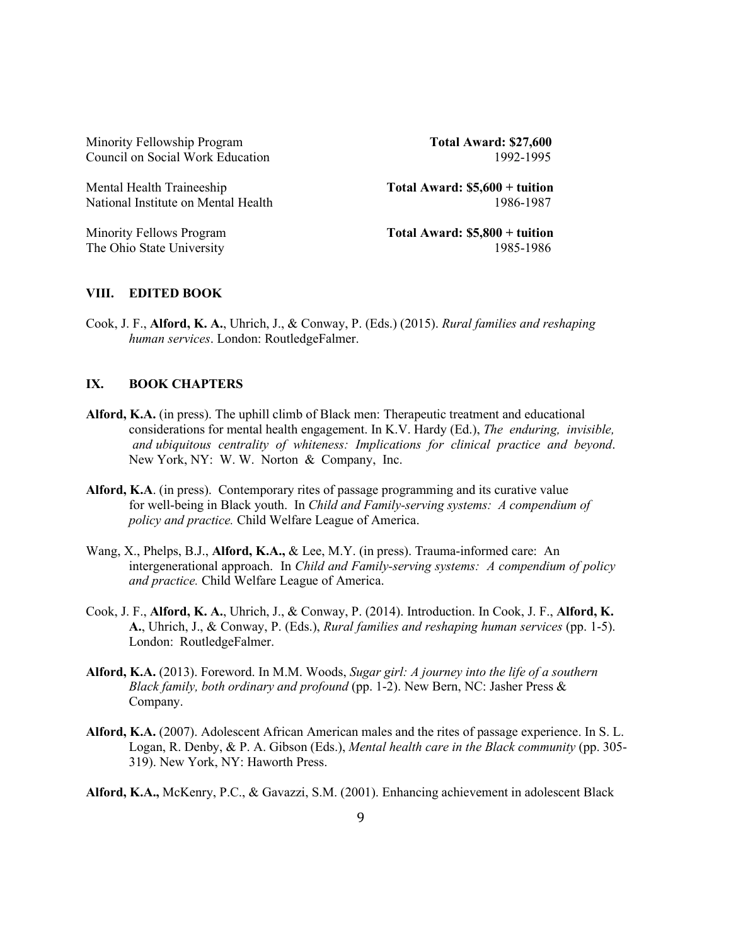Minority Fellowship Program **Total Award: \$27,600** Council on Social Work Education 1992-1995

Mental Health Traineeship **Total Award: \$5,600 + tuition** National Institute on Mental Health 1986-1987

Minority Fellows Program **Total Award: \$5,800 + tuition** The Ohio State University 1985-1986

#### **VIII. EDITED BOOK**

Cook, J. F., **Alford, K. A.**, Uhrich, J., & Conway, P. (Eds.) (2015). *Rural families and reshaping human services*. London: RoutledgeFalmer.

## **IX. BOOK CHAPTERS**

- **Alford, K.A.** (in press). The uphill climb of Black men: Therapeutic treatment and educational considerations for mental health engagement. In K.V. Hardy (Ed.), *The enduring, invisible, and ubiquitous centrality of whiteness: Implications for clinical practice and beyond*. New York, NY: W. W. Norton & Company, Inc.
- **Alford, K.A**. (in press). Contemporary rites of passage programming and its curative value for well-being in Black youth. In *Child and Family-serving systems: A compendium of policy and practice.* Child Welfare League of America.
- Wang, X., Phelps, B.J., **Alford, K.A.,** & Lee, M.Y. (in press). Trauma-informed care: An intergenerational approach. In *Child and Family-serving systems: A compendium of policy and practice.* Child Welfare League of America.
- Cook, J. F., **Alford, K. A.**, Uhrich, J., & Conway, P. (2014). Introduction. In Cook, J. F., **Alford, K. A.**, Uhrich, J., & Conway, P. (Eds.), *Rural families and reshaping human services* (pp. 1-5). London: RoutledgeFalmer.
- **Alford, K.A.** (2013). Foreword. In M.M. Woods, *Sugar girl: A journey into the life of a southern Black family, both ordinary and profound* (pp. 1-2). New Bern, NC: Jasher Press & Company.
- **Alford, K.A.** (2007). Adolescent African American males and the rites of passage experience. In S. L. Logan, R. Denby, & P. A. Gibson (Eds.), *Mental health care in the Black community* (pp. 305- 319). New York, NY: Haworth Press.
- **Alford, K.A.,** McKenry, P.C., & Gavazzi, S.M. (2001). Enhancing achievement in adolescent Black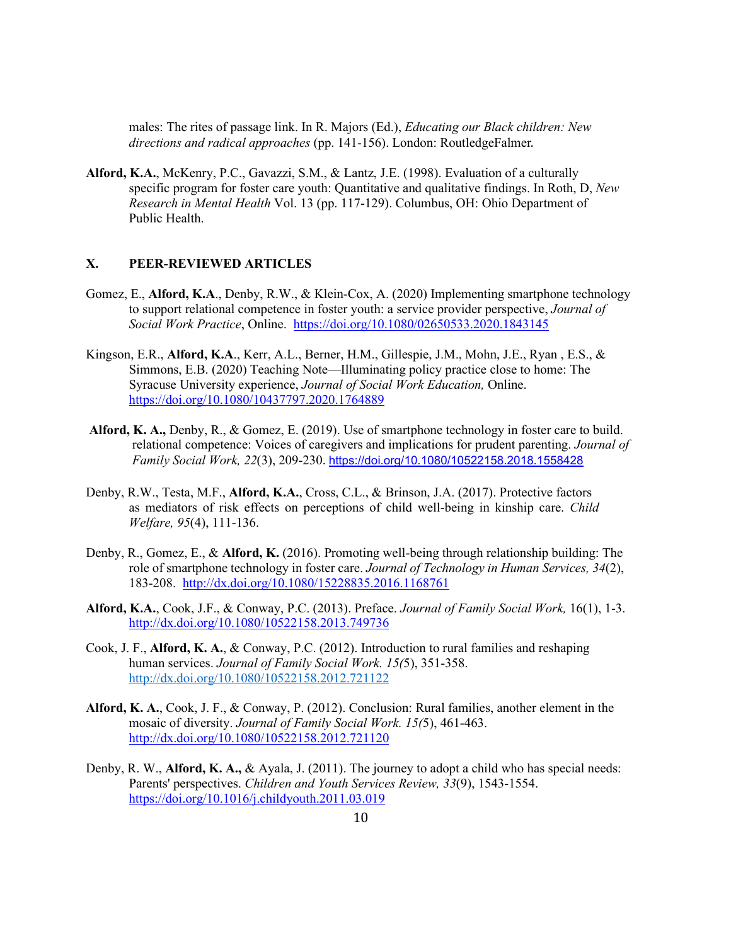males: The rites of passage link. In R. Majors (Ed.), *Educating our Black children: New directions and radical approaches* (pp. 141-156). London: RoutledgeFalmer.

**Alford, K.A.**, McKenry, P.C., Gavazzi, S.M., & Lantz, J.E. (1998). Evaluation of a culturally specific program for foster care youth: Quantitative and qualitative findings. In Roth, D, *New Research in Mental Health* Vol. 13 (pp. 117-129). Columbus, OH: Ohio Department of Public Health.

# **X. PEER-REVIEWED ARTICLES**

- Gomez, E., **Alford, K.A**., Denby, R.W., & Klein-Cox, A. (2020) Implementing smartphone technology to support relational competence in foster youth: a service provider perspective, *Journal of Social Work Practice*, Online. <https://doi.org/10.1080/02650533.2020.1843145>
- Kingson, E.R., **Alford, K.A**., Kerr, A.L., Berner, H.M., Gillespie, J.M., Mohn, J.E., Ryan , E.S., & Simmons, E.B. (2020) Teaching Note—Illuminating policy practice close to home: The Syracuse University experience, *Journal of Social Work Education,* Online. <https://doi.org/10.1080/10437797.2020.1764889>
- **Alford, K. A.,** Denby, R., & Gomez, E. (2019). Use of smartphone technology in foster care to build. relational competence: Voices of caregivers and implications for prudent parenting. *Journal of Family Social Work, 22*(3), 209-230. <https://doi.org/10.1080/10522158.2018.1558428>
- Denby, R.W., Testa, M.F., **Alford, K.A.**, Cross, C.L., & Brinson, J.A. (2017). Protective factors as mediators of risk effects on perceptions of child well-being in kinship care. *Child Welfare, 95*(4), 111-136.
- Denby, R., Gomez, E., & **Alford, K.** (2016). Promoting well-being through relationship building: The role of smartphone technology in foster care. *Journal of Technology in Human Services, 34*(2), 183-208. <http://dx.doi.org/10.1080/15228835.2016.1168761>
- **Alford, K.A.**, Cook, J.F., & Conway, P.C. (2013). Preface. *Journal of Family Social Work,* 16(1), 1-3. <http://dx.doi.org/10.1080/10522158.2013.749736>
- Cook, J. F., **Alford, K. A.**, & Conway, P.C. (2012). Introduction to rural families and reshaping human services. *Journal of Family Social Work. 15(*5), 351-358. <http://dx.doi.org/10.1080/10522158.2012.721122>
- **Alford, K. A.**, Cook, J. F., & Conway, P. (2012). [Conclusion: Rural families, another element in the](http://www.tandfonline.com/doi/abs/10.1080/10522158.2012.721120) [mosaic of diversity.](http://www.tandfonline.com/doi/abs/10.1080/10522158.2012.721120) *Journal of Family Social Work. 15(*5), 461-463. <http://dx.doi.org/10.1080/10522158.2012.721120>
- Denby, R. W., **Alford, K. A.,** & Ayala, J. (2011). The journey to adopt a child who has special needs: Parents' perspectives. *Children and Youth Services Review, 33*(9), 1543-1554. <https://doi.org/10.1016/j.childyouth.2011.03.019>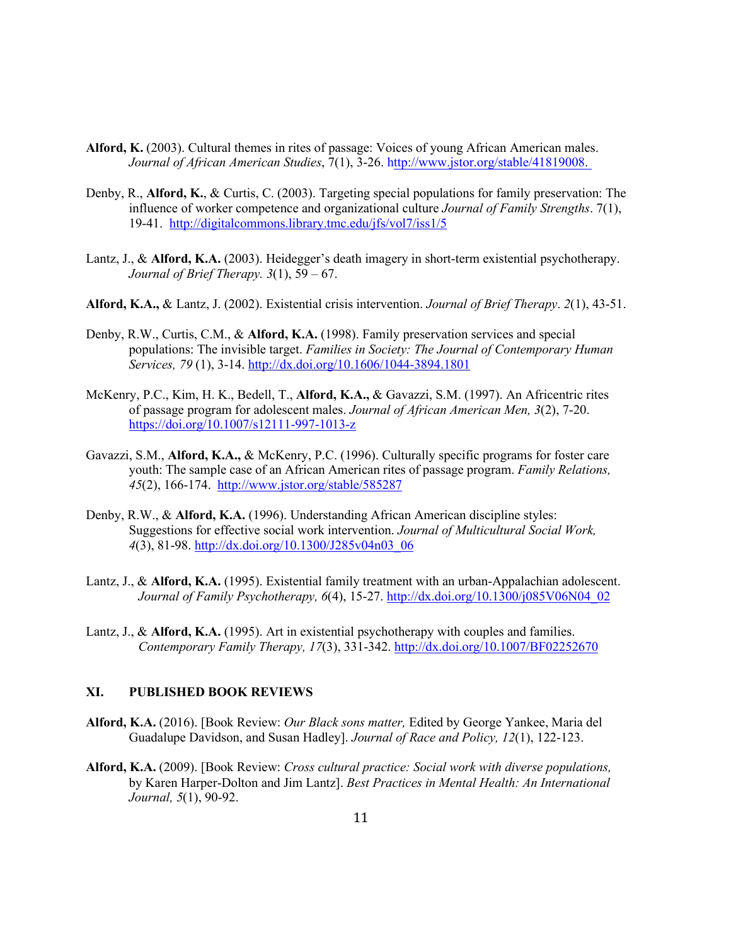- **Alford, K.** (2003). Cultural themes in rites of passage: Voices of young African American males. *Journal of African American Studies*, 7(1), 3-26. [http://www.jstor.org/stable/41819008.](http://www.jstor.org/stable/41819008)
- Denby, R., **Alford, K.**, & Curtis, C. (2003). Targeting special populations for family preservation: The influence of worker competence and organizational culture *Journal of Family Strengths*. 7(1), 19-41. <http://digitalcommons.library.tmc.edu/jfs/vol7/iss1/5>
- Lantz, J., & **Alford, K.A.** (2003). Heidegger's death imagery in short-term existential psychotherapy. *Journal of Brief Therapy. 3*(1), 59 – 67.
- **Alford, K.A.,** & Lantz, J. (2002). Existential crisis intervention. *Journal of Brief Therapy*. *2*(1), 43-51.
- Denby, R.W., Curtis, C.M., & **Alford, K.A.** (1998). Family preservation services and special populations: The invisible target. *Families in Society: The Journal of Contemporary Human Services, 79* (1), 3-14.<http://dx.doi.org/10.1606/1044-3894.1801>
- McKenry, P.C., Kim, H. K., Bedell, T., **Alford, K.A.,** & Gavazzi, S.M. (1997). An Africentric rites of passage program for adolescent males. *Journal of African American Men, 3*(2), 7-20. <https://doi.org/10.1007/s12111-997-1013-z>
- Gavazzi, S.M., **Alford, K.A.,** & McKenry, P.C. (1996). Culturally specific programs for foster care youth: The sample case of an African American rites of passage program. *Family Relations, 45*(2), 166-174. <http://www.jstor.org/stable/585287>
- Denby, R.W., & **Alford, K.A.** (1996). Understanding African American discipline styles: Suggestions for effective social work intervention. *Journal of Multicultural Social Work, 4*(3), 81-98. [http://dx.doi.org/10.1300/J285v04n03\\_06](http://dx.doi.org/10.1300/J285v04n03_06)
- Lantz, J., & **Alford, K.A.** (1995). Existential family treatment with an urban-Appalachian adolescent. *Journal of Family Psychotherapy, 6*(4), 15-27. [http://dx.doi.org/10.1300/j085V06N04\\_02](http://dx.doi.org/10.1300/j085V06N04_02)
- Lantz, J., & **Alford, K.A.** (1995). Art in existential psychotherapy with couples and families. *Contemporary Family Therapy, 17*(3), 331-342. [http://dx.doi.org/10.1007/BF02252670](http://psycnet.apa.org/doi/10.1007/BF02252670)

## **XI. PUBLISHED BOOK REVIEWS**

- **Alford, K.A.** (2016). [Book Review: *Our Black sons matter,* Edited by George Yankee, Maria del Guadalupe Davidson, and Susan Hadley]. *Journal of Race and Policy, 12*(1), 122-123.
- **Alford, K.A.** (2009). [Book Review: *Cross cultural practice: Social work with diverse populations,*  by Karen Harper-Dolton and Jim Lantz]. *Best Practices in Mental Health: An International Journal, 5*(1), 90-92.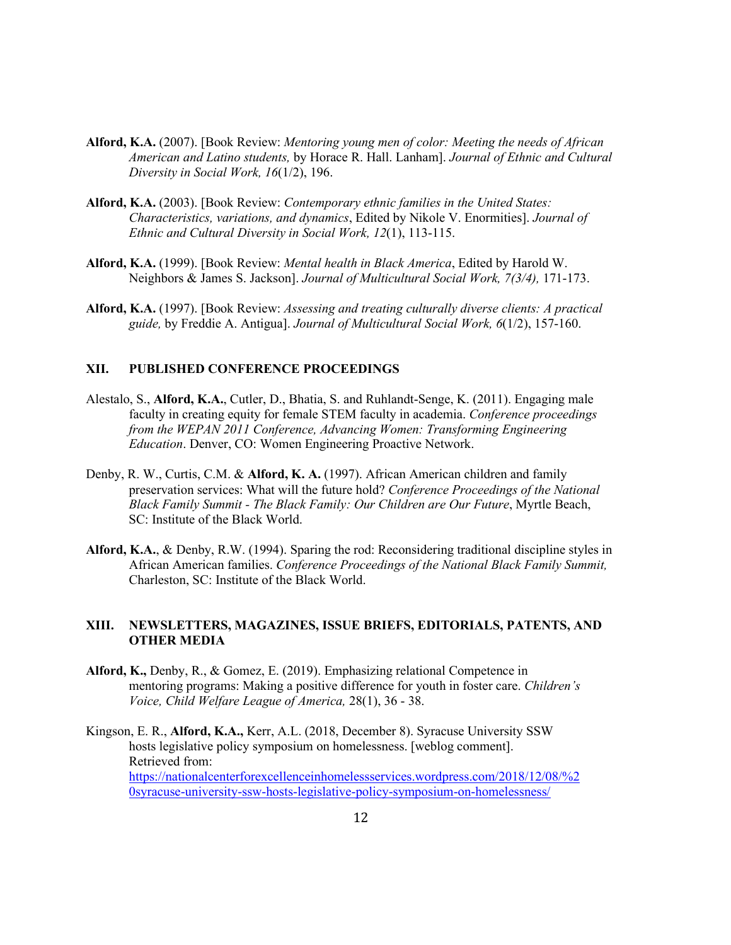- **Alford, K.A.** (2007). [Book Review: *Mentoring young men of color: Meeting the needs of African American and Latino students,* by Horace R. Hall. Lanham]. *Journal of Ethnic and Cultural Diversity in Social Work, 16*(1/2), 196.
- **Alford, K.A.** (2003). [Book Review: *Contemporary ethnic families in the United States: Characteristics, variations, and dynamics*, Edited by Nikole V. Enormities]. *Journal of Ethnic and Cultural Diversity in Social Work, 12*(1), 113-115.
- **Alford, K.A.** (1999). [Book Review: *Mental health in Black America*, Edited by Harold W. Neighbors & James S. Jackson]. *Journal of Multicultural Social Work, 7(3/4),* 171-173.
- **Alford, K.A.** (1997). [Book Review: *Assessing and treating culturally diverse clients: A practical guide,* by Freddie A. Antigua]. *Journal of Multicultural Social Work, 6*(1/2), 157-160.

## **XII. PUBLISHED CONFERENCE PROCEEDINGS**

- Alestalo, S., **Alford, K.A.**, Cutler, D., Bhatia, S. and Ruhlandt-Senge, K. (2011). Engaging male faculty in creating equity for female STEM faculty in academia. *Conference proceedings from the WEPAN 2011 Conference, Advancing Women: Transforming Engineering Education*. Denver, CO: Women Engineering Proactive Network.
- Denby, R. W., Curtis, C.M. & **Alford, K. A.** (1997). African American children and family preservation services: What will the future hold? *Conference Proceedings of the National Black Family Summit - The Black Family: Our Children are Our Future*, Myrtle Beach, SC: Institute of the Black World.
- **Alford, K.A.**, & Denby, R.W. (1994). Sparing the rod: Reconsidering traditional discipline styles in African American families. *Conference Proceedings of the National Black Family Summit,*  Charleston, SC: Institute of the Black World.

## **XIII. NEWSLETTERS, MAGAZINES, ISSUE BRIEFS, EDITORIALS, PATENTS, AND OTHER MEDIA**

**Alford, K.,** Denby, R., & Gomez, E. (2019). Emphasizing relational Competence in mentoring programs: Making a positive difference for youth in foster care. *Children's Voice, Child Welfare League of America,* 28(1), 36 - 38.

Kingson, E. R., **Alford, K.A.,** Kerr, A.L. (2018, December 8). Syracuse University SSW hosts legislative policy symposium on homelessness. [weblog comment]. Retrieved from: [https://nationalcenterforexcellenceinhomelessservices.wordpress.com/2018/12/08/%2](https://nationalcenterforexcellenceinhomelessservices.wordpress.com/2018/12/08/%20syracuse-university-ssw-hosts-legislative-policy-symposium-on-homelessness/) [0syracuse-university-ssw-hosts-legislative-policy-symposium-on-homelessness/](https://nationalcenterforexcellenceinhomelessservices.wordpress.com/2018/12/08/%20syracuse-university-ssw-hosts-legislative-policy-symposium-on-homelessness/)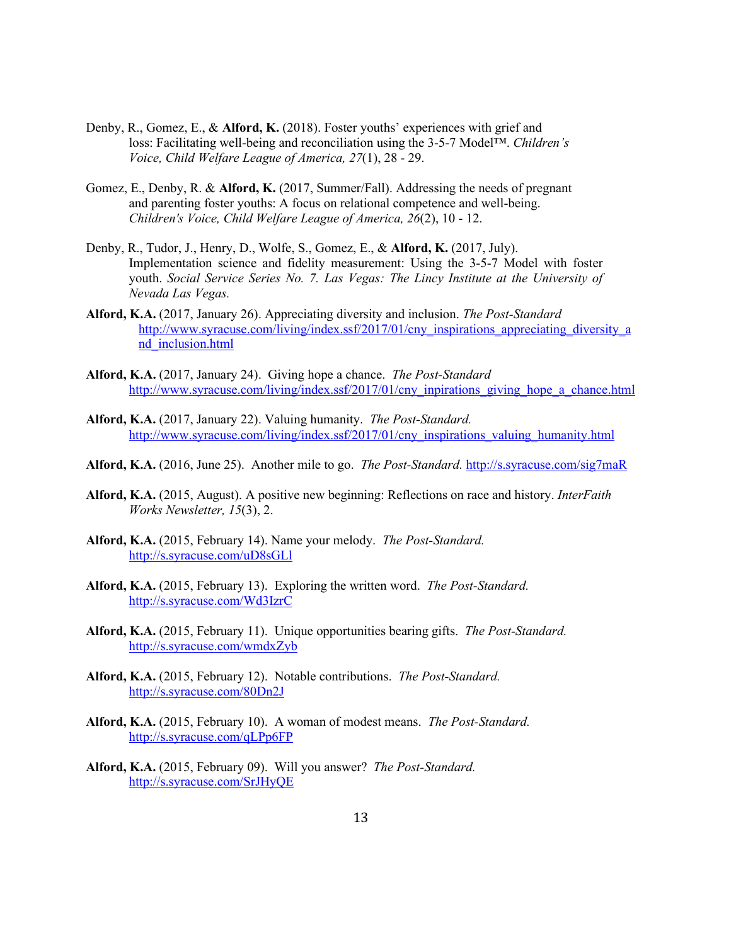- Denby, R., Gomez, E., & **Alford, K.** (2018). Foster youths' experiences with grief and loss: Facilitating well-being and reconciliation using the 3-5-7 Model™. *Children's Voice, Child Welfare League of America, 27*(1), 28 - 29.
- Gomez, E., Denby, R. & **Alford, K.** (2017, Summer/Fall). Addressing the needs of pregnant and parenting foster youths: A focus on relational competence and well-being. *Children's Voice, Child Welfare League of America, 26*(2), 10 - 12.
- Denby, R., Tudor, J., Henry, D., Wolfe, S., Gomez, E., & **Alford, K.** (2017, July). Implementation science and fidelity measurement: Using the 3-5-7 Model with foster youth. *Social Service Series No. 7. Las Vegas: The Lincy Institute at the University of Nevada Las Vegas.*
- **Alford, K.A.** (2017, January 26). Appreciating diversity and inclusion. *The Post-Standard* [http://www.syracuse.com/living/index.ssf/2017/01/cny\\_inspirations\\_appreciating\\_diversity\\_a](http://www.syracuse.com/living/index.ssf/2017/01/cny_inspirations_appreciating_diversity_and_inclusion.html) [nd\\_inclusion.html](http://www.syracuse.com/living/index.ssf/2017/01/cny_inspirations_appreciating_diversity_and_inclusion.html)
- **Alford, K.A.** (2017, January 24). Giving hope a chance. *The Post-Standard* [http://www.syracuse.com/living/index.ssf/2017/01/cny\\_inpirations\\_giving\\_hope\\_a\\_chance.html](http://www.syracuse.com/living/index.ssf/2017/01/cny_inpirations_giving_hope_a_chance.html)
- **Alford, K.A.** (2017, January 22). Valuing humanity. *The Post-Standard.* [http://www.syracuse.com/living/index.ssf/2017/01/cny\\_inspirations\\_valuing\\_humanity.html](http://www.syracuse.com/living/index.ssf/2017/01/cny_inspirations_valuing_humanity.html)
- **Alford, K.A.** (2016, June 25). Another mile to go. *The Post-Standard.* <http://s.syracuse.com/sig7maR>
- **Alford, K.A.** (2015, August). A positive new beginning: Reflections on race and history. *InterFaith Works Newsletter, 15*(3), 2.
- **Alford, K.A.** (2015, February 14). Name your melody. *The Post-Standard.* <http://s.syracuse.com/uD8sGLl>
- **Alford, K.A.** (2015, February 13). Exploring the written word. *The Post-Standard.* <http://s.syracuse.com/Wd3IzrC>
- **Alford, K.A.** (2015, February 11). Unique opportunities bearing gifts. *The Post-Standard.* <http://s.syracuse.com/wmdxZyb>
- **Alford, K.A.** (2015, February 12). Notable contributions. *The Post-Standard.* <http://s.syracuse.com/80Dn2J>
- **Alford, K.A.** (2015, February 10). A woman of modest means. *The Post-Standard.* <http://s.syracuse.com/qLPp6FP>
- **Alford, K.A.** (2015, February 09). Will you answer? *The Post-Standard.* <http://s.syracuse.com/SrJHyQE>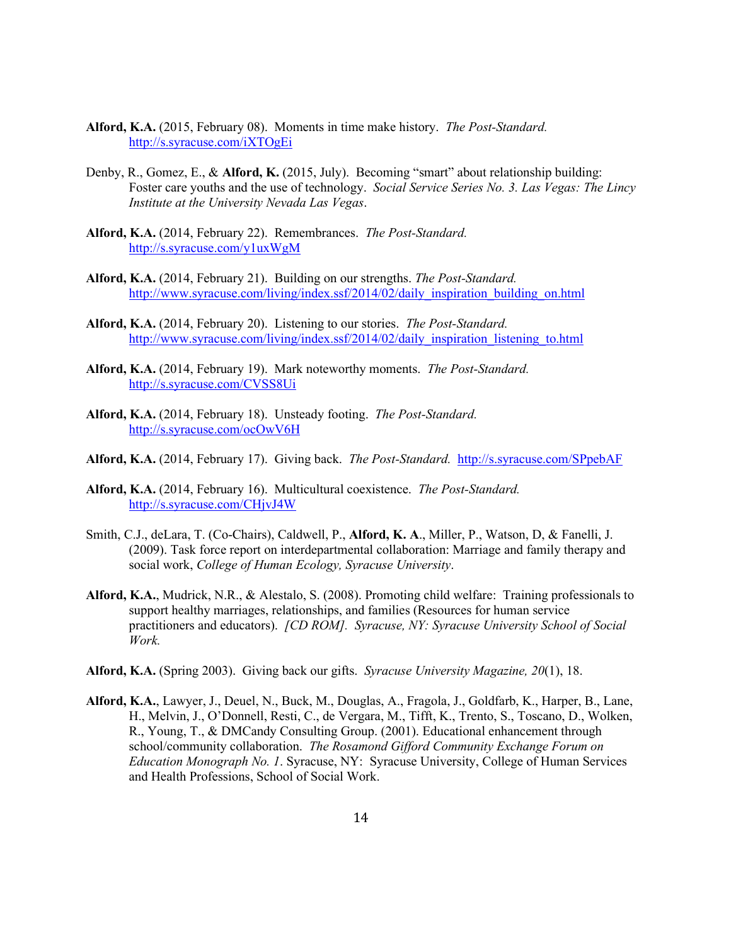- **Alford, K.A.** (2015, February 08). Moments in time make history. *The Post-Standard.* <http://s.syracuse.com/iXTOgEi>
- Denby, R., Gomez, E., & **Alford, K.** (2015, July). Becoming "smart" about relationship building: Foster care youths and the use of technology. *Social Service Series No. 3. Las Vegas: The Lincy Institute at the University Nevada Las Vegas*.
- **Alford, K.A.** (2014, February 22). Remembrances. *The Post-Standard.* <http://s.syracuse.com/y1uxWgM>
- **Alford, K.A.** (2014, February 21). Building on our strengths. *The Post-Standard.*  [http://www.syracuse.com/living/index.ssf/2014/02/daily\\_inspiration\\_building\\_on.html](http://www.syracuse.com/living/index.ssf/2014/02/daily_inspiration_building_on.html)
- **Alford, K.A.** (2014, February 20). Listening to our stories. *The Post-Standard.*  [http://www.syracuse.com/living/index.ssf/2014/02/daily\\_inspiration\\_listening\\_to.html](http://www.syracuse.com/living/index.ssf/2014/02/daily_inspiration_listening_to.html)
- **Alford, K.A.** (2014, February 19). Mark noteworthy moments. *The Post-Standard.* <http://s.syracuse.com/CVSS8Ui>
- **Alford, K.A.** (2014, February 18). Unsteady footing. *The Post-Standard.* <http://s.syracuse.com/ocOwV6H>
- **Alford, K.A.** (2014, February 17). Giving back. *The Post-Standard.* <http://s.syracuse.com/SPpebAF>
- **Alford, K.A.** (2014, February 16). Multicultural coexistence. *The Post-Standard.* <http://s.syracuse.com/CHjvJ4W>
- Smith, C.J., deLara, T. (Co-Chairs), Caldwell, P., **Alford, K. A**., Miller, P., Watson, D, & Fanelli, J. (2009). Task force report on interdepartmental collaboration: Marriage and family therapy and social work, *College of Human Ecology, Syracuse University*.
- **Alford, K.A.**, Mudrick, N.R., & Alestalo, S. (2008). Promoting child welfare: Training professionals to support healthy marriages, relationships, and families (Resources for human service practitioners and educators). *[CD ROM]. Syracuse, NY: Syracuse University School of Social Work.*
- **Alford, K.A.** (Spring 2003). Giving back our gifts. *Syracuse University Magazine, 20*(1), 18.
- **Alford, K.A.**, Lawyer, J., Deuel, N., Buck, M., Douglas, A., Fragola, J., Goldfarb, K., Harper, B., Lane, H., Melvin, J., O'Donnell, Resti, C., de Vergara, M., Tifft, K., Trento, S., Toscano, D., Wolken, R., Young, T., & DMCandy Consulting Group. (2001). Educational enhancement through school/community collaboration. *The Rosamond Gifford Community Exchange Forum on Education Monograph No. 1*. Syracuse, NY: Syracuse University, College of Human Services and Health Professions, School of Social Work.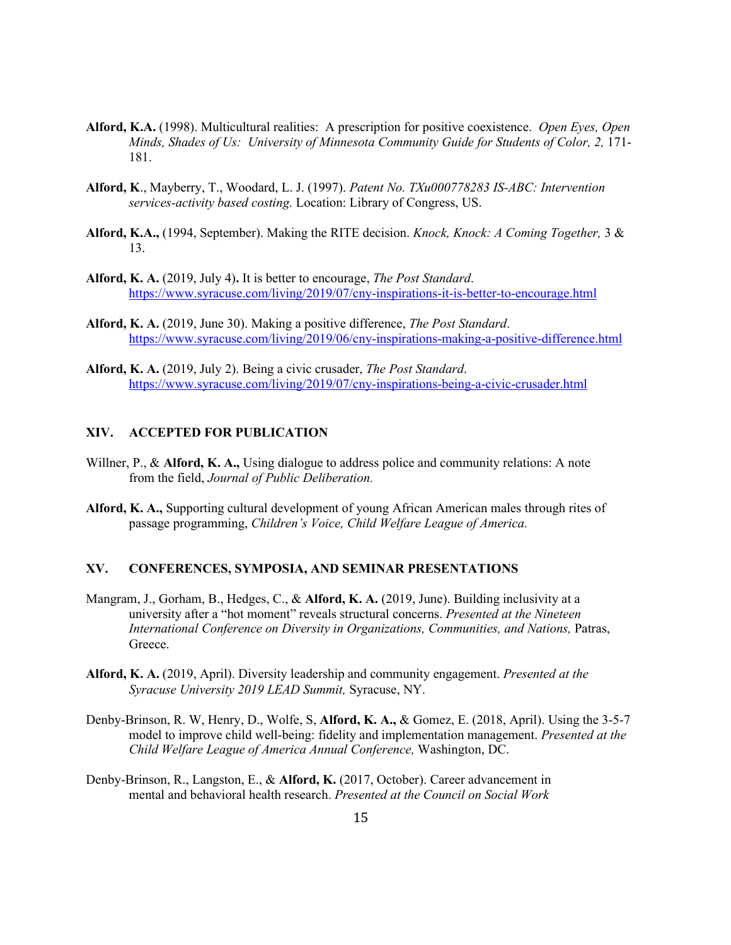- **Alford, K.A.** (1998). Multicultural realities: A prescription for positive coexistence. *Open Eyes, Open Minds, Shades of Us: University of Minnesota Community Guide for Students of Color, 2,* 171- 181.
- **Alford, K**., Mayberry, T., Woodard, L. J. (1997). *Patent No. TXu000778283 IS-ABC: Intervention services-activity based costing.* Location: Library of Congress, US.
- **Alford, K.A.,** (1994, September). Making the RITE decision. *Knock, Knock: A Coming Together,* 3 & 13.
- **Alford, K. A.** (2019, July 4)**.** It is better to encourage, *The Post Standard*. <https://www.syracuse.com/living/2019/07/cny-inspirations-it-is-better-to-encourage.html>
- **Alford, K. A.** (2019, June 30). Making a positive difference, *The Post Standard*. <https://www.syracuse.com/living/2019/06/cny-inspirations-making-a-positive-difference.html>
- **Alford, K. A.** (2019, July 2). Being a civic crusader, *The Post Standard*. <https://www.syracuse.com/living/2019/07/cny-inspirations-being-a-civic-crusader.html>

## **XIV. ACCEPTED FOR PUBLICATION**

- Willner, P., & **Alford, K. A.,** Using dialogue to address police and community relations: A note from the field, *Journal of Public Deliberation.*
- **Alford, K. A.,** Supporting cultural development of young African American males through rites of passage programming, *Children's Voice, Child Welfare League of America.*

### **XV. CONFERENCES, SYMPOSIA, AND SEMINAR PRESENTATIONS**

- Mangram, J., Gorham, B., Hedges, C., & **Alford, K. A.** (2019, June). Building inclusivity at a university after a "hot moment" reveals structural concerns. *Presented at the Nineteen International Conference on Diversity in Organizations, Communities, and Nations,* Patras, Greece.
- **Alford, K. A.** (2019, April). Diversity leadership and community engagement. *Presented at the Syracuse University 2019 LEAD Summit,* Syracuse, NY.
- Denby-Brinson, R. W, Henry, D., Wolfe, S, **Alford, K. A.,** & Gomez, E. (2018, April). Using the 3-5-7 model to improve child well-being: fidelity and implementation management. *Presented at the Child Welfare League of America Annual Conference,* Washington, DC.
- Denby-Brinson, R., Langston, E., & **Alford, K.** (2017, October). Career advancement in mental and behavioral health research. *Presented at the Council on Social Work*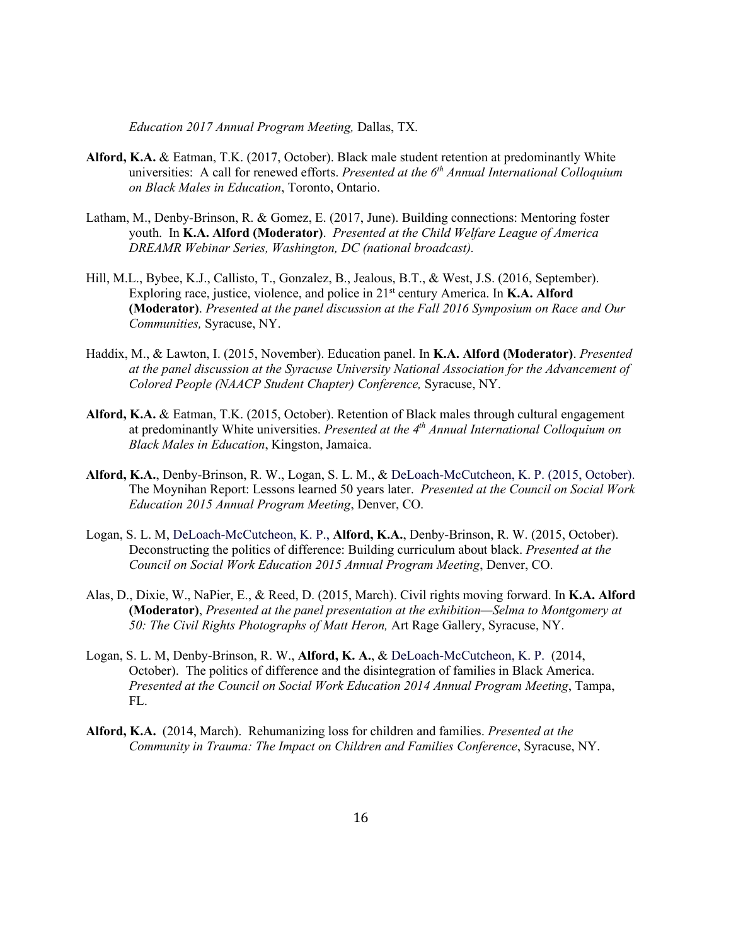*Education 2017 Annual Program Meeting,* Dallas, TX.

- **Alford, K.A.** & Eatman, T.K. (2017, October). Black male student retention at predominantly White universities: A call for renewed efforts. *Presented at the 6th Annual International Colloquium on Black Males in Education*, Toronto, Ontario.
- Latham, M., Denby-Brinson, R. & Gomez, E. (2017, June). Building connections: Mentoring foster youth. In **K.A. Alford (Moderator)**. *Presented at the Child Welfare League of America DREAMR Webinar Series, Washington, DC (national broadcast).*
- Hill, M.L., Bybee, K.J., Callisto, T., Gonzalez, B., Jealous, B.T., & West, J.S. (2016, September). Exploring race, justice, violence, and police in 21st century America. In **K.A. Alford (Moderator)**. *Presented at the panel discussion at the Fall 2016 Symposium on Race and Our Communities,* Syracuse, NY.
- Haddix, M., & Lawton, I. (2015, November). Education panel. In **K.A. Alford (Moderator)**. *Presented at the panel discussion at the Syracuse University National Association for the Advancement of Colored People (NAACP Student Chapter) Conference,* Syracuse, NY.
- **Alford, K.A.** & Eatman, T.K. (2015, October). Retention of Black males through cultural engagement at predominantly White universities. *Presented at the 4th Annual International Colloquium on Black Males in Education*, Kingston, Jamaica.
- **Alford, K.A.**, Denby-Brinson, R. W., Logan, S. L. M., & DeLoach-McCutcheon, K. P. (2015, October). The Moynihan Report: Lessons learned 50 years later. *Presented at the Council on Social Work Education 2015 Annual Program Meeting*, Denver, CO.
- Logan, S. L. M, DeLoach-McCutcheon, K. P., **Alford, K.A.**, Denby-Brinson, R. W. (2015, October). Deconstructing the politics of difference: Building curriculum about black. *Presented at the Council on Social Work Education 2015 Annual Program Meeting*, Denver, CO.
- Alas, D., Dixie, W., NaPier, E., & Reed, D. (2015, March). Civil rights moving forward. In **K.A. Alford (Moderator)**, *Presented at the panel presentation at the exhibition—Selma to Montgomery at 50: The Civil Rights Photographs of Matt Heron,* Art Rage Gallery, Syracuse, NY.
- Logan, S. L. M, Denby-Brinson, R. W., **Alford, K. A.**, & DeLoach-McCutcheon, K. P. (2014, October). The politics of difference and the disintegration of families in Black America. *Presented at the Council on Social Work Education 2014 Annual Program Meeting*, Tampa, FL.
- **Alford, K.A.** (2014, March). Rehumanizing loss for children and families. *Presented at the Community in Trauma: The Impact on Children and Families Conference*, Syracuse, NY.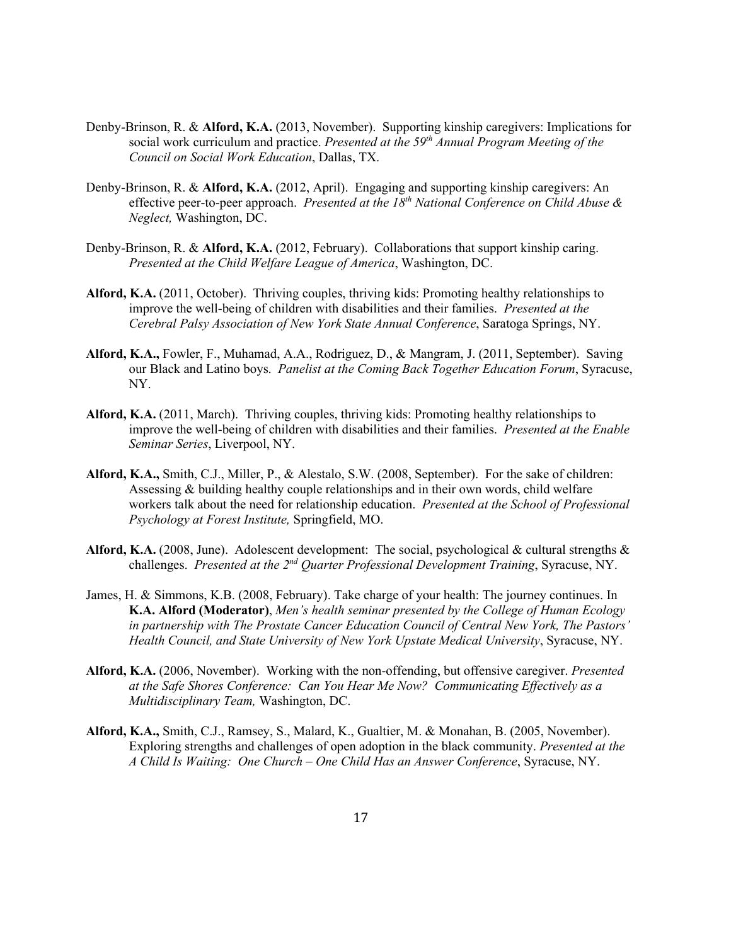- Denby-Brinson, R. & **Alford, K.A.** (2013, November). Supporting kinship caregivers: Implications for social work curriculum and practice. *Presented at the 59th Annual Program Meeting of the Council on Social Work Education*, Dallas, TX.
- Denby-Brinson, R. & **Alford, K.A.** (2012, April). Engaging and supporting kinship caregivers: An effective peer-to-peer approach. *Presented at the 18th National Conference on Child Abuse & Neglect,* Washington, DC.
- Denby-Brinson, R. & **Alford, K.A.** (2012, February). Collaborations that support kinship caring. *Presented at the Child Welfare League of America*, Washington, DC.
- **Alford, K.A.** (2011, October).Thriving couples, thriving kids: Promoting healthy relationships to improve the well-being of children with disabilities and their families. *Presented at the Cerebral Palsy Association of New York State Annual Conference*, Saratoga Springs, NY.
- **Alford, K.A.,** Fowler, F., Muhamad, A.A., Rodriguez, D., & Mangram, J. (2011, September). Saving our Black and Latino boys. *Panelist at the Coming Back Together Education Forum*, Syracuse, NY.
- **Alford, K.A.** (2011, March). Thriving couples, thriving kids: Promoting healthy relationships to improve the well-being of children with disabilities and their families. *Presented at the Enable Seminar Series*, Liverpool, NY.
- **Alford, K.A.,** Smith, C.J., Miller, P., & Alestalo, S.W. (2008, September).For the sake of children: Assessing & building healthy couple relationships and in their own words, child welfare workers talk about the need for relationship education. *Presented at the School of Professional Psychology at Forest Institute,* Springfield, MO.
- **Alford, K.A.** (2008, June). Adolescent development: The social, psychological & cultural strengths & challenges. *Presented at the 2nd Quarter Professional Development Training*, Syracuse, NY.
- James, H. & Simmons, K.B. (2008, February). Take charge of your health: The journey continues. In **K.A. Alford (Moderator)**, *Men's health seminar presented by the College of Human Ecology in partnership with The Prostate Cancer Education Council of Central New York, The Pastors' Health Council, and State University of New York Upstate Medical University*, Syracuse, NY.
- **Alford, K.A.** (2006, November). Working with the non-offending, but offensive caregiver. *Presented at the Safe Shores Conference: Can You Hear Me Now? Communicating Effectively as a Multidisciplinary Team,* Washington, DC.
- **Alford, K.A.,** Smith, C.J., Ramsey, S., Malard, K., Gualtier, M. & Monahan, B. (2005, November). Exploring strengths and challenges of open adoption in the black community. *Presented at the A Child Is Waiting: One Church – One Child Has an Answer Conference*, Syracuse, NY.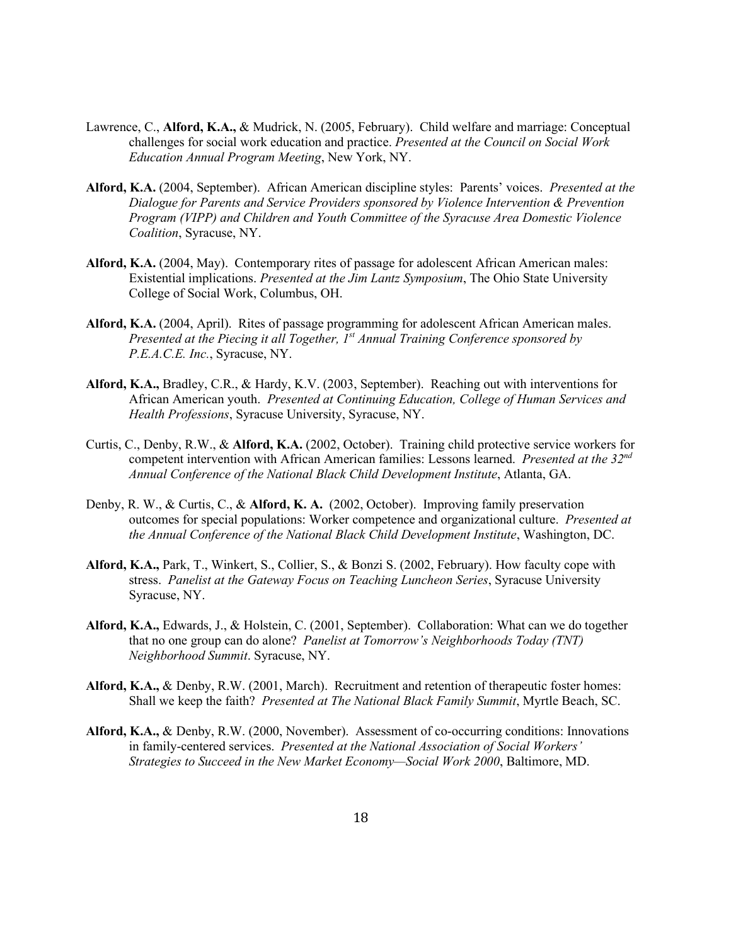- Lawrence, C., **Alford, K.A.,** & Mudrick, N. (2005, February). Child welfare and marriage: Conceptual challenges for social work education and practice. *Presented at the Council on Social Work Education Annual Program Meeting*, New York, NY.
- **Alford, K.A.** (2004, September). African American discipline styles: Parents' voices. *Presented at the Dialogue for Parents and Service Providers sponsored by Violence Intervention & Prevention Program (VIPP) and Children and Youth Committee of the Syracuse Area Domestic Violence Coalition*, Syracuse, NY.
- **Alford, K.A.** (2004, May). Contemporary rites of passage for adolescent African American males: Existential implications. *Presented at the Jim Lantz Symposium*, The Ohio State University College of Social Work, Columbus, OH.
- **Alford, K.A.** (2004, April). Rites of passage programming for adolescent African American males. *Presented at the Piecing it all Together, 1st Annual Training Conference sponsored by P.E.A.C.E. Inc.*, Syracuse, NY.
- **Alford, K.A.,** Bradley, C.R., & Hardy, K.V. (2003, September). Reaching out with interventions for African American youth. *Presented at Continuing Education, College of Human Services and Health Professions*, Syracuse University, Syracuse, NY.
- Curtis, C., Denby, R.W., & **Alford, K.A.** (2002, October). Training child protective service workers for competent intervention with African American families: Lessons learned. *Presented at the 32nd Annual Conference of the National Black Child Development Institute*, Atlanta, GA.
- Denby, R. W., & Curtis, C., & **Alford, K. A.** (2002, October). Improving family preservation outcomes for special populations: Worker competence and organizational culture. *Presented at the Annual Conference of the National Black Child Development Institute*, Washington, DC.
- **Alford, K.A.,** Park, T., Winkert, S., Collier, S., & Bonzi S. (2002, February). How faculty cope with stress. *Panelist at the Gateway Focus on Teaching Luncheon Series*, Syracuse University Syracuse, NY.
- **Alford, K.A.,** Edwards, J., & Holstein, C. (2001, September). Collaboration: What can we do together that no one group can do alone? *Panelist at Tomorrow's Neighborhoods Today (TNT) Neighborhood Summit*. Syracuse, NY.
- **Alford, K.A.,** & Denby, R.W. (2001, March). Recruitment and retention of therapeutic foster homes: Shall we keep the faith? *Presented at The National Black Family Summit*, Myrtle Beach, SC.
- **Alford, K.A.,** & Denby, R.W. (2000, November). Assessment of co-occurring conditions: Innovations in family-centered services. *Presented at the National Association of Social Workers' Strategies to Succeed in the New Market Economy—Social Work 2000*, Baltimore, MD.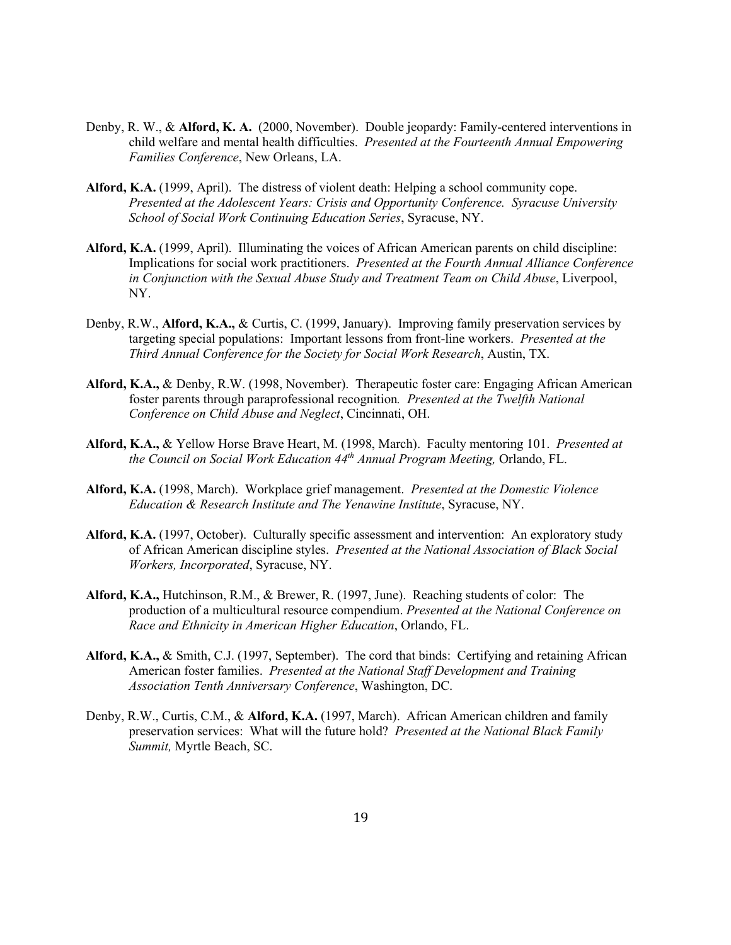- Denby, R. W., & **Alford, K. A.** (2000, November). Double jeopardy: Family-centered interventions in child welfare and mental health difficulties. *Presented at the Fourteenth Annual Empowering Families Conference*, New Orleans, LA.
- **Alford, K.A.** (1999, April). The distress of violent death: Helping a school community cope. *Presented at the Adolescent Years: Crisis and Opportunity Conference. Syracuse University School of Social Work Continuing Education Series*, Syracuse, NY.
- **Alford, K.A.** (1999, April). Illuminating the voices of African American parents on child discipline: Implications for social work practitioners. *Presented at the Fourth Annual Alliance Conference in Conjunction with the Sexual Abuse Study and Treatment Team on Child Abuse*, Liverpool, NY.
- Denby, R.W., **Alford, K.A.,** & Curtis, C. (1999, January). Improving family preservation services by targeting special populations: Important lessons from front-line workers. *Presented at the Third Annual Conference for the Society for Social Work Research*, Austin, TX.
- **Alford, K.A.,** & Denby, R.W. (1998, November). Therapeutic foster care: Engaging African American foster parents through paraprofessional recognition*. Presented at the Twelfth National Conference on Child Abuse and Neglect*, Cincinnati, OH.
- **Alford, K.A.,** & Yellow Horse Brave Heart, M. (1998, March). Faculty mentoring 101. *Presented at the Council on Social Work Education 44th Annual Program Meeting,* Orlando, FL.
- **Alford, K.A.** (1998, March). Workplace grief management. *Presented at the Domestic Violence Education & Research Institute and The Yenawine Institute*, Syracuse, NY.
- **Alford, K.A.** (1997, October). Culturally specific assessment and intervention: An exploratory study of African American discipline styles. *Presented at the National Association of Black Social Workers, Incorporated*, Syracuse, NY.
- **Alford, K.A.,** Hutchinson, R.M., & Brewer, R. (1997, June). Reaching students of color: The production of a multicultural resource compendium. *Presented at the National Conference on Race and Ethnicity in American Higher Education*, Orlando, FL.
- **Alford, K.A.,** & Smith, C.J. (1997, September). The cord that binds: Certifying and retaining African American foster families. *Presented at the National Staff Development and Training Association Tenth Anniversary Conference*, Washington, DC.
- Denby, R.W., Curtis, C.M., & **Alford, K.A.** (1997, March). African American children and family preservation services: What will the future hold? *Presented at the National Black Family Summit,* Myrtle Beach, SC.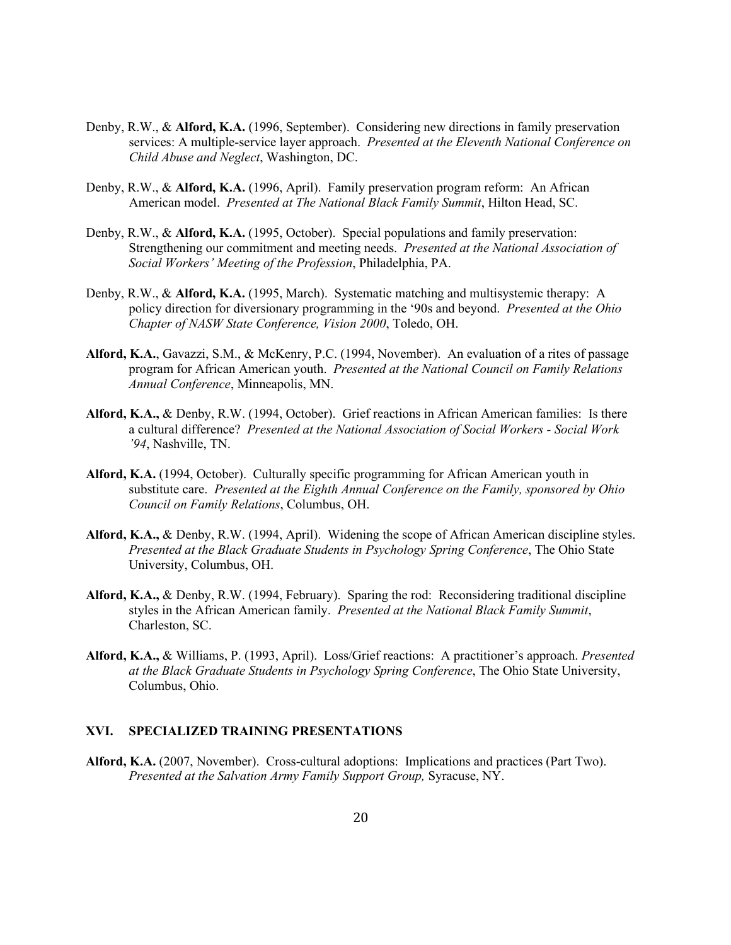- Denby, R.W., & **Alford, K.A.** (1996, September). Considering new directions in family preservation services: A multiple-service layer approach. *Presented at the Eleventh National Conference on Child Abuse and Neglect*, Washington, DC.
- Denby, R.W., & **Alford, K.A.** (1996, April). Family preservation program reform: An African American model. *Presented at The National Black Family Summit*, Hilton Head, SC.
- Denby, R.W., & **Alford, K.A.** (1995, October). Special populations and family preservation: Strengthening our commitment and meeting needs. *Presented at the National Association of Social Workers' Meeting of the Profession*, Philadelphia, PA.
- Denby, R.W., & **Alford, K.A.** (1995, March). Systematic matching and multisystemic therapy: A policy direction for diversionary programming in the '90s and beyond. *Presented at the Ohio Chapter of NASW State Conference, Vision 2000*, Toledo, OH.
- **Alford, K.A.**, Gavazzi, S.M., & McKenry, P.C. (1994, November). An evaluation of a rites of passage program for African American youth. *Presented at the National Council on Family Relations Annual Conference*, Minneapolis, MN.
- **Alford, K.A.,** & Denby, R.W. (1994, October). Grief reactions in African American families: Is there a cultural difference? *Presented at the National Association of Social Workers - Social Work '94*, Nashville, TN.
- **Alford, K.A.** (1994, October). Culturally specific programming for African American youth in substitute care. *Presented at the Eighth Annual Conference on the Family, sponsored by Ohio Council on Family Relations*, Columbus, OH.
- **Alford, K.A.,** & Denby, R.W. (1994, April). Widening the scope of African American discipline styles. *Presented at the Black Graduate Students in Psychology Spring Conference*, The Ohio State University, Columbus, OH.
- **Alford, K.A.,** & Denby, R.W. (1994, February). Sparing the rod: Reconsidering traditional discipline styles in the African American family. *Presented at the National Black Family Summit*, Charleston, SC.
- **Alford, K.A.,** & Williams, P. (1993, April). Loss/Grief reactions: A practitioner's approach. *Presented at the Black Graduate Students in Psychology Spring Conference*, The Ohio State University, Columbus, Ohio.

### **XVI. SPECIALIZED TRAINING PRESENTATIONS**

**Alford, K.A.** (2007, November). Cross-cultural adoptions: Implications and practices (Part Two). *Presented at the Salvation Army Family Support Group,* Syracuse, NY.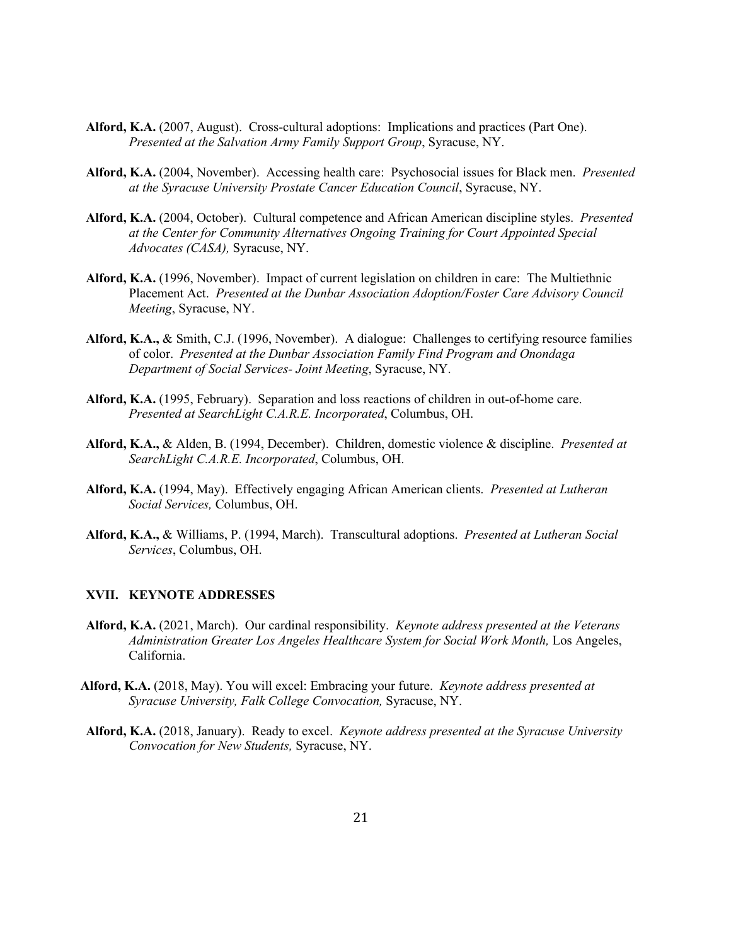- **Alford, K.A.** (2007, August). Cross-cultural adoptions: Implications and practices (Part One). *Presented at the Salvation Army Family Support Group*, Syracuse, NY.
- **Alford, K.A.** (2004, November). Accessing health care: Psychosocial issues for Black men. *Presented at the Syracuse University Prostate Cancer Education Council*, Syracuse, NY.
- **Alford, K.A.** (2004, October). Cultural competence and African American discipline styles. *Presented at the Center for Community Alternatives Ongoing Training for Court Appointed Special Advocates (CASA),* Syracuse, NY.
- **Alford, K.A.** (1996, November). Impact of current legislation on children in care: The Multiethnic Placement Act. *Presented at the Dunbar Association Adoption/Foster Care Advisory Council Meeting*, Syracuse, NY.
- **Alford, K.A.,** & Smith, C.J. (1996, November). A dialogue: Challenges to certifying resource families of color. *Presented at the Dunbar Association Family Find Program and Onondaga Department of Social Services- Joint Meeting*, Syracuse, NY.
- **Alford, K.A.** (1995, February). Separation and loss reactions of children in out-of-home care. *Presented at SearchLight C.A.R.E. Incorporated*, Columbus, OH.
- **Alford, K.A.,** & Alden, B. (1994, December). Children, domestic violence & discipline. *Presented at SearchLight C.A.R.E. Incorporated*, Columbus, OH.
- **Alford, K.A.** (1994, May). Effectively engaging African American clients. *Presented at Lutheran Social Services,* Columbus, OH.
- **Alford, K.A.,** & Williams, P. (1994, March). Transcultural adoptions. *Presented at Lutheran Social Services*, Columbus, OH.

#### **XVII. KEYNOTE ADDRESSES**

- **Alford, K.A.** (2021, March). Our cardinal responsibility. *Keynote address presented at the Veterans Administration Greater Los Angeles Healthcare System for Social Work Month, Los Angeles,* California.
- **Alford, K.A.** (2018, May). You will excel: Embracing your future. *Keynote address presented at Syracuse University, Falk College Convocation,* Syracuse, NY.
- **Alford, K.A.** (2018, January). Ready to excel. *Keynote address presented at the Syracuse University Convocation for New Students,* Syracuse, NY.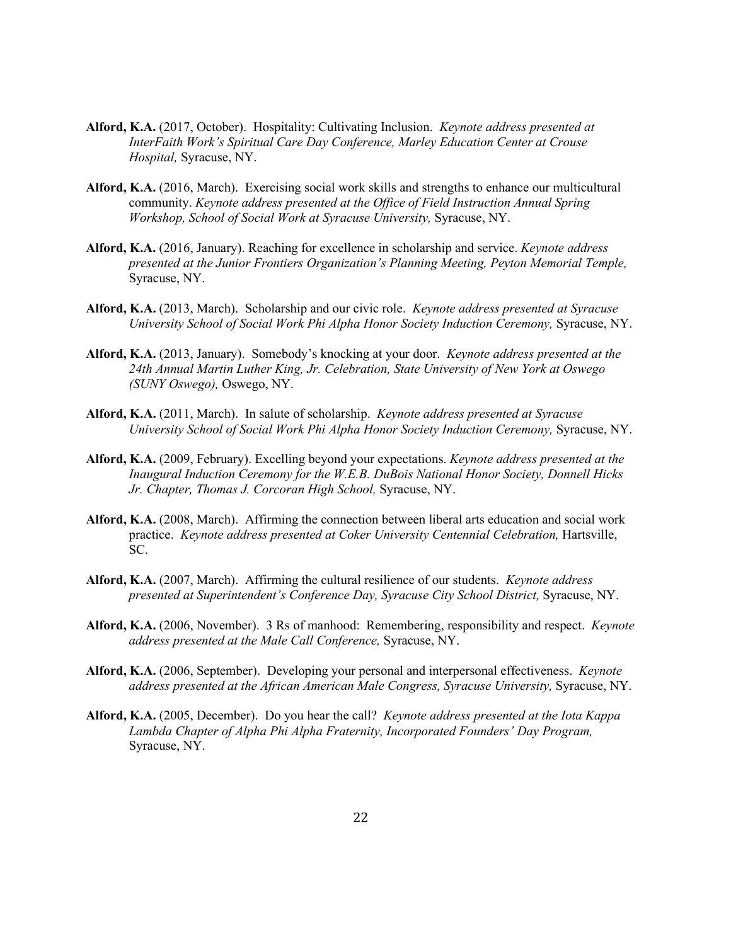- **Alford, K.A.** (2017, October). Hospitality: Cultivating Inclusion. *Keynote address presented at InterFaith Work's Spiritual Care Day Conference, Marley Education Center at Crouse Hospital,* Syracuse, NY.
- **Alford, K.A.** (2016, March). Exercising social work skills and strengths to enhance our multicultural community. *Keynote address presented at the Office of Field Instruction Annual Spring Workshop, School of Social Work at Syracuse University,* Syracuse, NY.
- **Alford, K.A.** (2016, January). Reaching for excellence in scholarship and service. *Keynote address presented at the Junior Frontiers Organization's Planning Meeting, Peyton Memorial Temple,* Syracuse, NY.
- **Alford, K.A.** (2013, March). Scholarship and our civic role. *Keynote address presented at Syracuse University School of Social Work Phi Alpha Honor Society Induction Ceremony,* Syracuse, NY.
- **Alford, K.A.** (2013, January). Somebody's knocking at your door. *Keynote address presented at the 24th Annual Martin Luther King, Jr. Celebration, State University of New York at Oswego (SUNY Oswego),* Oswego, NY.
- **Alford, K.A.** (2011, March). In salute of scholarship. *Keynote address presented at Syracuse University School of Social Work Phi Alpha Honor Society Induction Ceremony,* Syracuse, NY.
- **Alford, K.A.** (2009, February). Excelling beyond your expectations. *Keynote address presented at the Inaugural Induction Ceremony for the W.E.B. DuBois National Honor Society, Donnell Hicks Jr. Chapter, Thomas J. Corcoran High School,* Syracuse, NY.
- **Alford, K.A.** (2008, March). Affirming the connection between liberal arts education and social work practice. *Keynote address presented at Coker University Centennial Celebration,* Hartsville, SC.
- **Alford, K.A.** (2007, March). Affirming the cultural resilience of our students. *Keynote address presented at Superintendent's Conference Day, Syracuse City School District,* Syracuse, NY.
- **Alford, K.A.** (2006, November). 3 Rs of manhood: Remembering, responsibility and respect. *Keynote address presented at the Male Call Conference,* Syracuse, NY.
- **Alford, K.A.** (2006, September). Developing your personal and interpersonal effectiveness. *Keynote address presented at the African American Male Congress, Syracuse University,* Syracuse, NY.
- **Alford, K.A.** (2005, December). Do you hear the call? *Keynote address presented at the Iota Kappa Lambda Chapter of Alpha Phi Alpha Fraternity, Incorporated Founders' Day Program,* Syracuse, NY.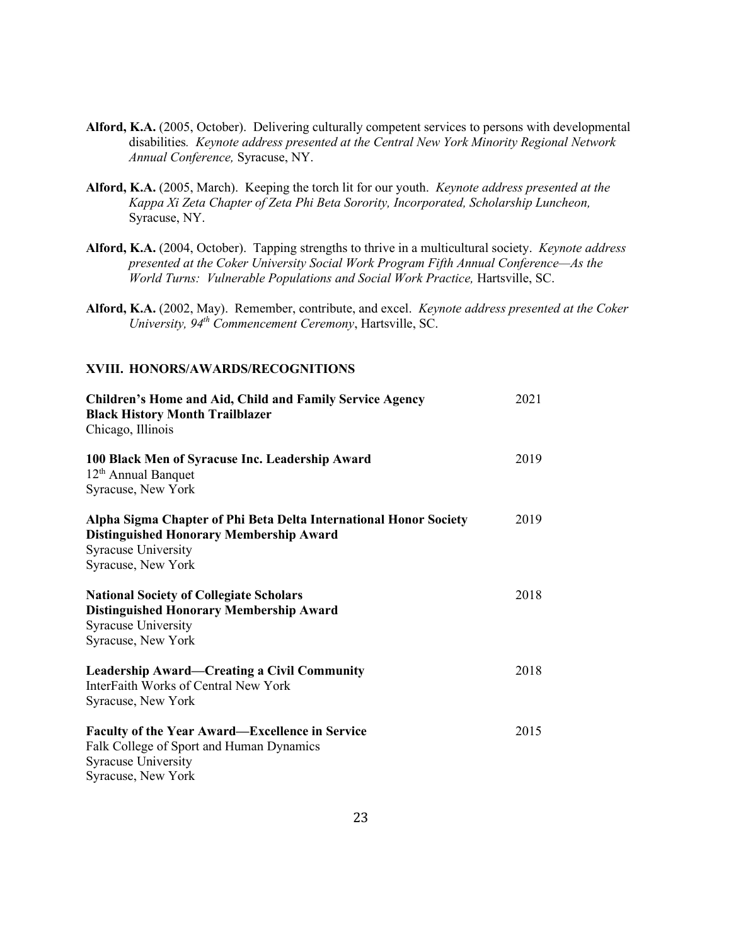- **Alford, K.A.** (2005, October). Delivering culturally competent services to persons with developmental disabilities*. Keynote address presented at the Central New York Minority Regional Network Annual Conference,* Syracuse, NY.
- **Alford, K.A.** (2005, March). Keeping the torch lit for our youth. *Keynote address presented at the Kappa Xi Zeta Chapter of Zeta Phi Beta Sorority, Incorporated, Scholarship Luncheon,* Syracuse, NY.
- **Alford, K.A.** (2004, October). Tapping strengths to thrive in a multicultural society. *Keynote address presented at the Coker University Social Work Program Fifth Annual Conference—As the World Turns: Vulnerable Populations and Social Work Practice,* Hartsville, SC.
- **Alford, K.A.** (2002, May). Remember, contribute, and excel. *Keynote address presented at the Coker University, 94th Commencement Ceremony*, Hartsville, SC.

## **XVIII. HONORS/AWARDS/RECOGNITIONS**

| <b>Children's Home and Aid, Child and Family Service Agency</b><br><b>Black History Month Trailblazer</b><br>Chicago, Illinois                                          | 2021 |
|-------------------------------------------------------------------------------------------------------------------------------------------------------------------------|------|
| 100 Black Men of Syracuse Inc. Leadership Award<br>$12th$ Annual Banquet<br>Syracuse, New York                                                                          | 2019 |
| Alpha Sigma Chapter of Phi Beta Delta International Honor Society<br><b>Distinguished Honorary Membership Award</b><br><b>Syracuse University</b><br>Syracuse, New York | 2019 |
| <b>National Society of Collegiate Scholars</b><br><b>Distinguished Honorary Membership Award</b><br><b>Syracuse University</b><br>Syracuse, New York                    | 2018 |
| <b>Leadership Award—Creating a Civil Community</b><br>InterFaith Works of Central New York<br>Syracuse, New York                                                        | 2018 |
| <b>Faculty of the Year Award—Excellence in Service</b><br>Falk College of Sport and Human Dynamics<br><b>Syracuse University</b><br>Syracuse, New York                  | 2015 |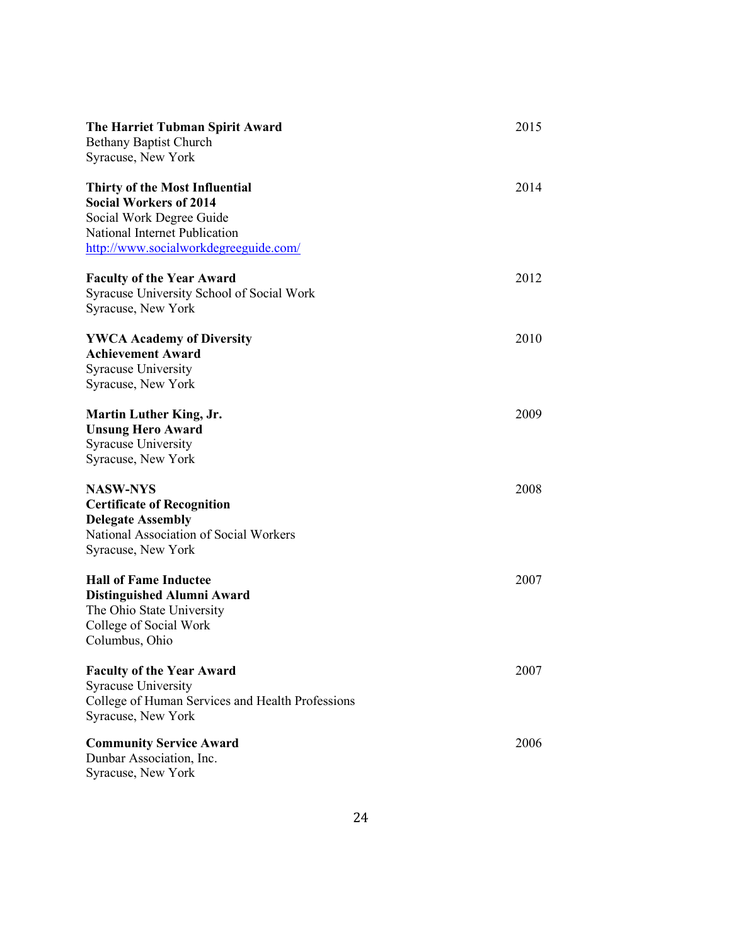| The Harriet Tubman Spirit Award<br><b>Bethany Baptist Church</b><br>Syracuse, New York                                                                                       | 2015 |
|------------------------------------------------------------------------------------------------------------------------------------------------------------------------------|------|
| <b>Thirty of the Most Influential</b><br><b>Social Workers of 2014</b><br>Social Work Degree Guide<br>National Internet Publication<br>http://www.socialworkdegreeguide.com/ | 2014 |
| <b>Faculty of the Year Award</b><br>Syracuse University School of Social Work<br>Syracuse, New York                                                                          | 2012 |
| <b>YWCA Academy of Diversity</b><br><b>Achievement Award</b><br><b>Syracuse University</b><br>Syracuse, New York                                                             | 2010 |
| <b>Martin Luther King, Jr.</b><br><b>Unsung Hero Award</b><br>Syracuse University<br>Syracuse, New York                                                                      | 2009 |
| <b>NASW-NYS</b><br><b>Certificate of Recognition</b><br><b>Delegate Assembly</b><br>National Association of Social Workers<br>Syracuse, New York                             | 2008 |
| <b>Hall of Fame Inductee</b><br><b>Distinguished Alumni Award</b><br>The Ohio State University<br>College of Social Work<br>Columbus, Ohio                                   | 2007 |
| <b>Faculty of the Year Award</b><br><b>Syracuse University</b><br>College of Human Services and Health Professions<br>Syracuse, New York                                     | 2007 |
| <b>Community Service Award</b><br>Dunbar Association, Inc.<br>Syracuse, New York                                                                                             | 2006 |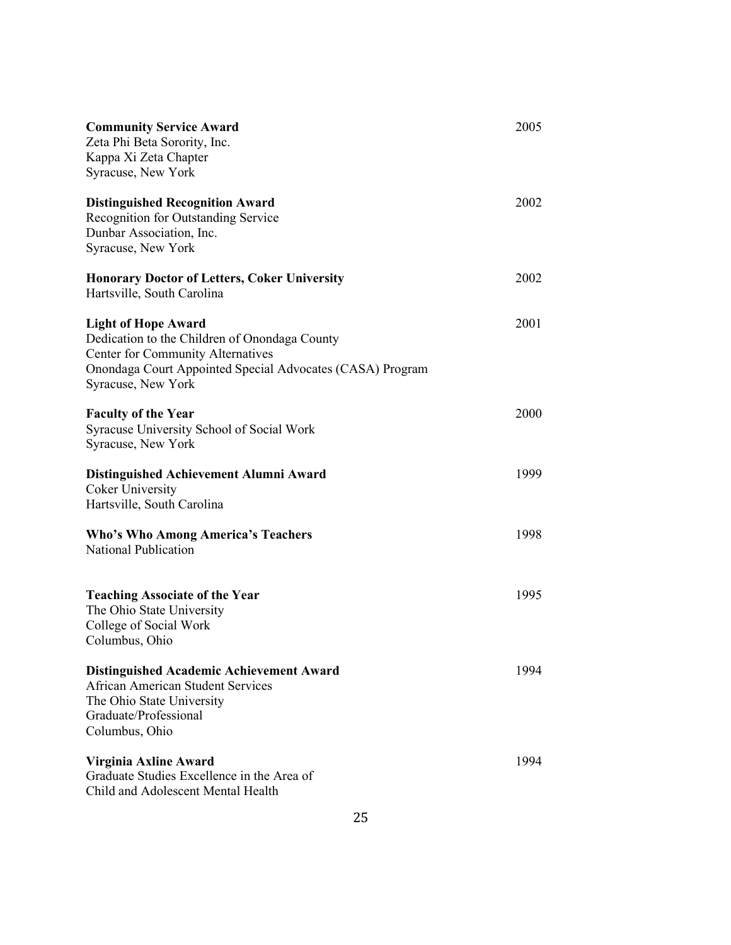| <b>Community Service Award</b><br>Zeta Phi Beta Sorority, Inc.<br>Kappa Xi Zeta Chapter<br>Syracuse, New York                                                                                       | 2005 |
|-----------------------------------------------------------------------------------------------------------------------------------------------------------------------------------------------------|------|
| <b>Distinguished Recognition Award</b><br>Recognition for Outstanding Service<br>Dunbar Association, Inc.<br>Syracuse, New York                                                                     | 2002 |
| <b>Honorary Doctor of Letters, Coker University</b><br>Hartsville, South Carolina                                                                                                                   | 2002 |
| <b>Light of Hope Award</b><br>Dedication to the Children of Onondaga County<br>Center for Community Alternatives<br>Onondaga Court Appointed Special Advocates (CASA) Program<br>Syracuse, New York | 2001 |
| <b>Faculty of the Year</b><br>Syracuse University School of Social Work<br>Syracuse, New York                                                                                                       | 2000 |
| Distinguished Achievement Alumni Award<br><b>Coker University</b><br>Hartsville, South Carolina                                                                                                     | 1999 |
| <b>Who's Who Among America's Teachers</b><br><b>National Publication</b>                                                                                                                            | 1998 |
| <b>Teaching Associate of the Year</b><br>The Ohio State University<br>College of Social Work<br>Columbus, Ohio                                                                                      | 1995 |
| <b>Distinguished Academic Achievement Award</b><br>African American Student Services<br>The Ohio State University<br>Graduate/Professional<br>Columbus, Ohio                                        | 1994 |
| Virginia Axline Award<br>Graduate Studies Excellence in the Area of<br>Child and Adolescent Mental Health                                                                                           | 1994 |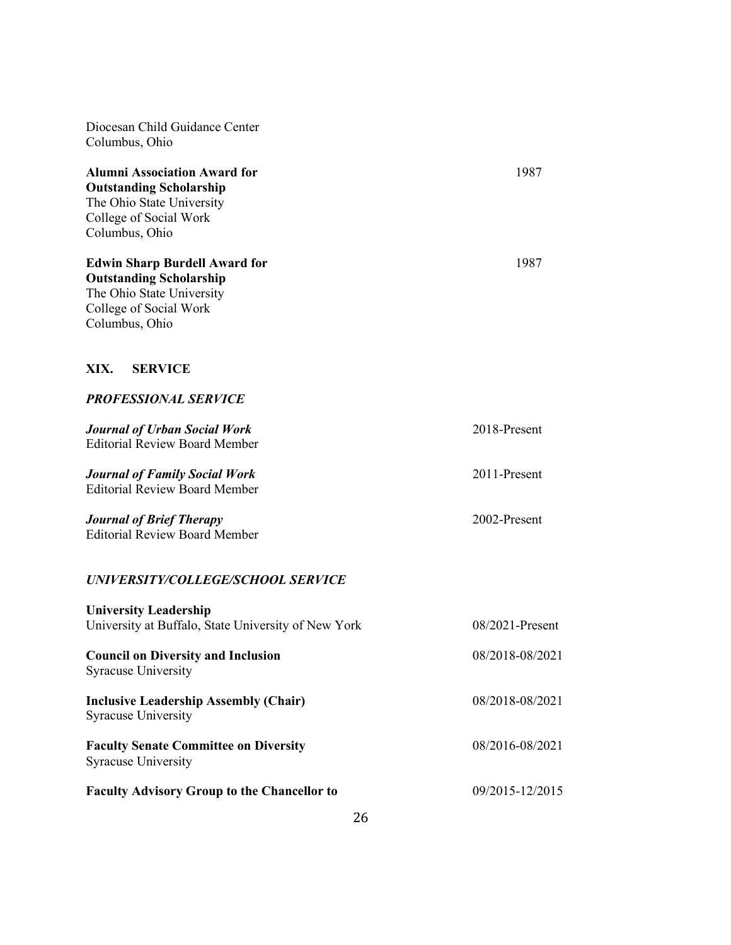Diocesan Child Guidance Center Columbus, Ohio **Alumni Association Award for** 1987 **Outstanding Scholarship** The Ohio State University College of Social Work Columbus, Ohio **Edwin Sharp Burdell Award for** 1987 **Outstanding Scholarship** The Ohio State University College of Social Work Columbus, Ohio **XIX. SERVICE** *PROFESSIONAL SERVICE Journal of Urban Social Work* 2018-Present Editorial Review Board Member *Journal of Family Social Work* 2011-Present Editorial Review Board Member *Journal of Brief Therapy* 2002-Present Editorial Review Board Member *UNIVERSITY/COLLEGE/SCHOOL SERVICE* **University Leadership** University at Buffalo, State University of New York 08/2021-Present **Council on Diversity and Inclusion** 08/2018-08/2021 Syracuse University **Inclusive Leadership Assembly (Chair)** 08/2018-08/2021 Syracuse University **Faculty Senate Committee on Diversity** 08/2016-08/2021 Syracuse University

**Faculty Advisory Group to the Chancellor to** 09/2015-12/2015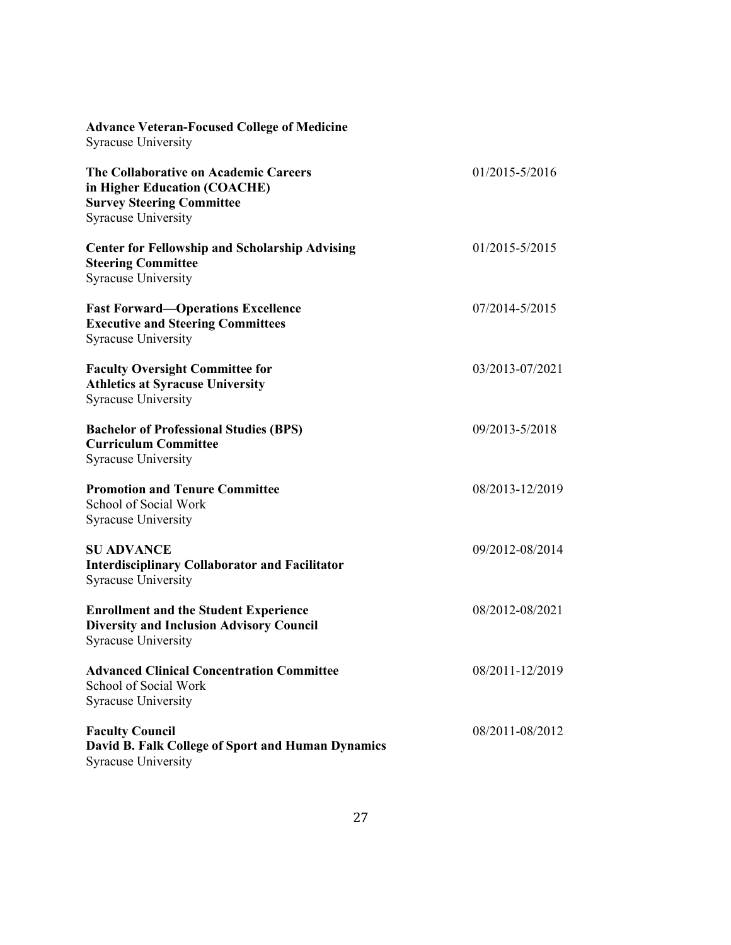| <b>Advance Veteran-Focused College of Medicine</b><br><b>Syracuse University</b>                                                        |                 |
|-----------------------------------------------------------------------------------------------------------------------------------------|-----------------|
| The Collaborative on Academic Careers<br>in Higher Education (COACHE)<br><b>Survey Steering Committee</b><br><b>Syracuse University</b> | 01/2015-5/2016  |
| <b>Center for Fellowship and Scholarship Advising</b><br><b>Steering Committee</b><br><b>Syracuse University</b>                        | 01/2015-5/2015  |
| <b>Fast Forward-Operations Excellence</b><br><b>Executive and Steering Committees</b><br><b>Syracuse University</b>                     | 07/2014-5/2015  |
| <b>Faculty Oversight Committee for</b><br><b>Athletics at Syracuse University</b><br><b>Syracuse University</b>                         | 03/2013-07/2021 |
| <b>Bachelor of Professional Studies (BPS)</b><br><b>Curriculum Committee</b><br><b>Syracuse University</b>                              | 09/2013-5/2018  |
| <b>Promotion and Tenure Committee</b><br>School of Social Work<br><b>Syracuse University</b>                                            | 08/2013-12/2019 |
| <b>SU ADVANCE</b><br><b>Interdisciplinary Collaborator and Facilitator</b><br><b>Syracuse University</b>                                | 09/2012-08/2014 |
| <b>Enrollment and the Student Experience</b><br><b>Diversity and Inclusion Advisory Council</b><br><b>Syracuse University</b>           | 08/2012-08/2021 |
| <b>Advanced Clinical Concentration Committee</b><br>School of Social Work<br><b>Syracuse University</b>                                 | 08/2011-12/2019 |
| <b>Faculty Council</b><br>David B. Falk College of Sport and Human Dynamics<br><b>Syracuse University</b>                               | 08/2011-08/2012 |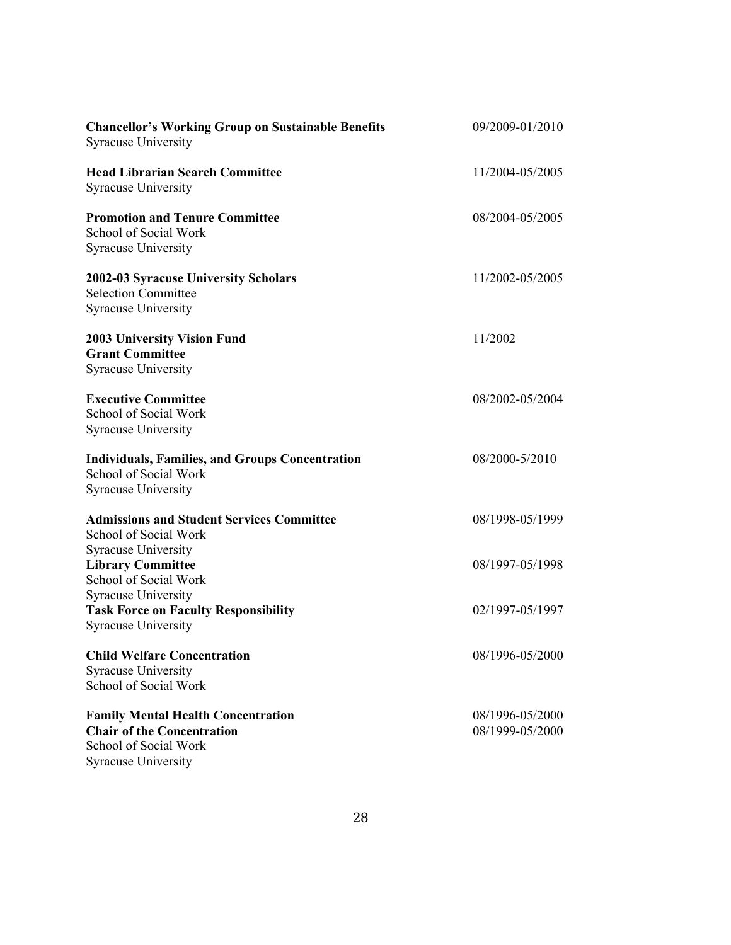| <b>Chancellor's Working Group on Sustainable Benefits</b><br><b>Syracuse University</b>                                               | 09/2009-01/2010                    |
|---------------------------------------------------------------------------------------------------------------------------------------|------------------------------------|
| <b>Head Librarian Search Committee</b><br><b>Syracuse University</b>                                                                  | 11/2004-05/2005                    |
| <b>Promotion and Tenure Committee</b><br>School of Social Work<br><b>Syracuse University</b>                                          | 08/2004-05/2005                    |
| 2002-03 Syracuse University Scholars<br><b>Selection Committee</b><br><b>Syracuse University</b>                                      | 11/2002-05/2005                    |
| <b>2003 University Vision Fund</b><br><b>Grant Committee</b><br><b>Syracuse University</b>                                            | 11/2002                            |
| <b>Executive Committee</b><br>School of Social Work<br><b>Syracuse University</b>                                                     | 08/2002-05/2004                    |
| <b>Individuals, Families, and Groups Concentration</b><br>School of Social Work<br><b>Syracuse University</b>                         | 08/2000-5/2010                     |
| <b>Admissions and Student Services Committee</b><br>School of Social Work<br><b>Syracuse University</b>                               | 08/1998-05/1999                    |
| <b>Library Committee</b><br>School of Social Work                                                                                     | 08/1997-05/1998                    |
| <b>Syracuse University</b><br><b>Task Force on Faculty Responsibility</b><br><b>Syracuse University</b>                               | 02/1997-05/1997                    |
| <b>Child Welfare Concentration</b><br><b>Syracuse University</b><br>School of Social Work                                             | 08/1996-05/2000                    |
| <b>Family Mental Health Concentration</b><br><b>Chair of the Concentration</b><br>School of Social Work<br><b>Syracuse University</b> | 08/1996-05/2000<br>08/1999-05/2000 |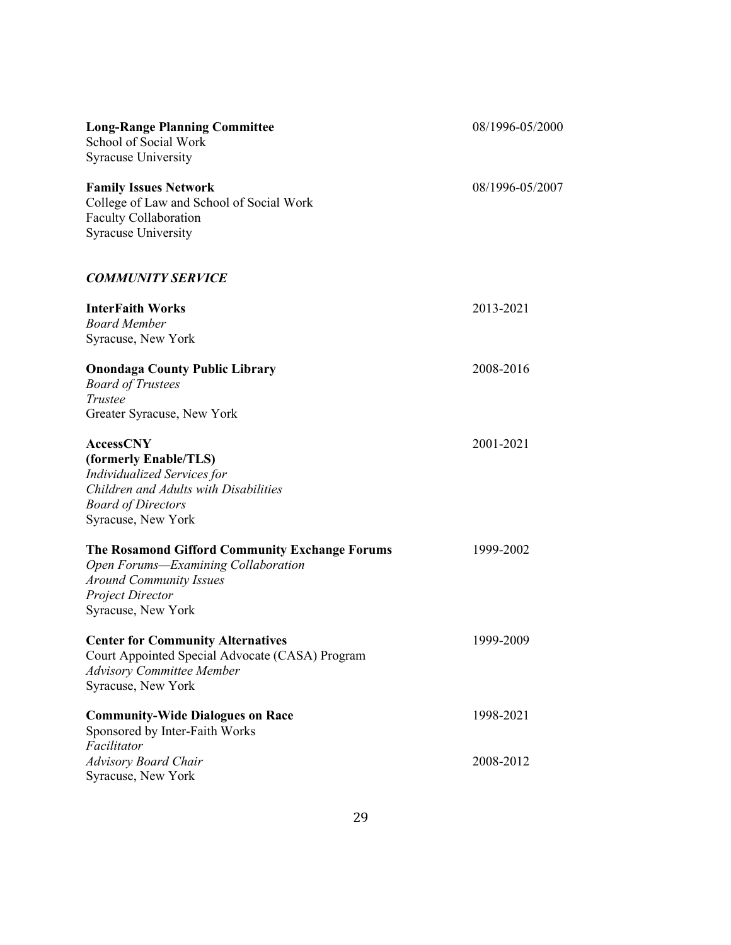| <b>Long-Range Planning Committee</b><br>School of Social Work<br><b>Syracuse University</b>                                                                                 | 08/1996-05/2000 |
|-----------------------------------------------------------------------------------------------------------------------------------------------------------------------------|-----------------|
| <b>Family Issues Network</b><br>College of Law and School of Social Work<br>Faculty Collaboration<br><b>Syracuse University</b>                                             | 08/1996-05/2007 |
| <b>COMMUNITY SERVICE</b>                                                                                                                                                    |                 |
| <b>InterFaith Works</b><br><b>Board Member</b><br>Syracuse, New York                                                                                                        | 2013-2021       |
| <b>Onondaga County Public Library</b><br><b>Board of Trustees</b><br>Trustee<br>Greater Syracuse, New York                                                                  | 2008-2016       |
| <b>AccessCNY</b><br>(formerly Enable/TLS)<br><b>Individualized Services for</b><br>Children and Adults with Disabilities<br><b>Board of Directors</b><br>Syracuse, New York | 2001-2021       |
| The Rosamond Gifford Community Exchange Forums<br>Open Forums-Examining Collaboration<br><b>Around Community Issues</b><br><b>Project Director</b><br>Syracuse, New York    | 1999-2002       |
| <b>Center for Community Alternatives</b><br>Court Appointed Special Advocate (CASA) Program<br><b>Advisory Committee Member</b><br>Syracuse, New York                       | 1999-2009       |
| <b>Community-Wide Dialogues on Race</b><br>Sponsored by Inter-Faith Works<br>Facilitator                                                                                    | 1998-2021       |
| <b>Advisory Board Chair</b><br>Syracuse, New York                                                                                                                           | 2008-2012       |
|                                                                                                                                                                             |                 |